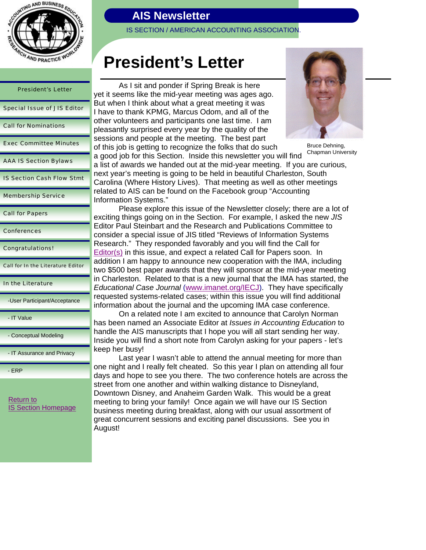

| <b>President's Letter</b>          |
|------------------------------------|
| <b>Special Issue of JIS Editor</b> |
| <b>Call for Nominations</b>        |
| <b>Exec Committee Minutes</b>      |
| <b>AAA IS Section Bylaws</b>       |
| <b>IS Section Cash Flow Stmt</b>   |
| <b>Membership Service</b>          |

Call for Papers

**Conferences** 

Congratulations!

Call for In the Literature Editor

-User Participant/Acceptance

- IT Value

- Conceptual Modeling

- IT Assurance and Privacy

- ERP

Return to IS Section Homepage

# **AIS Newsletter**

IS SECTION / AMERICAN ACCOUNTING ASSOCIATION.

# **President's Letter**

 As I sit and ponder if Spring Break is here yet it seems like the mid-year meeting was ages ago. But when I think about what a great meeting it was I have to thank KPMG, Marcus Odom, and all of the other volunteers and participants one last time. I am pleasantly surprised every year by the quality of the sessions and people at the meeting. The best part of this job is getting to recognize the folks that do such a good job for this Section. Inside this newsletter you will find



Bruce Dehning, Chapman University

a list of awards we handed out at the mid-year meeting. If you are curious, next year's meeting is going to be held in beautiful Charleston, South Carolina (Where History Lives). That meeting as well as other meetings related to AIS can be found on the Facebook group "Accounting Information Systems."

 Please explore this issue of the Newsletter closely; there are a lot of exciting things going on in the Section. For example, I asked the new *JIS* Editor Paul Steinbart and the Research and Publications Committee to consider a special issue of JIS titled "Reviews of Information Systems Research." They responded favorably and you will find the Call for Editor(s) in this issue, and expect a related Call for Papers soon. In addition I am happy to announce new cooperation with the IMA, including two \$500 best paper awards that they will sponsor at the mid-year meeting in Charleston. Related to that is a new journal that the IMA has started, the *Educational Case Journal* (www.imanet.org/IECJ). They have specifically requested systems-related cases; within this issue you will find additional information about the journal and the upcoming IMA case conference.

 On a related note I am excited to announce that Carolyn Norman has been named an Associate Editor at *Issues in Accounting Education* to handle the AIS manuscripts that I hope you will all start sending her way. Inside you will find a short note from Carolyn asking for your papers - let's keep her busy!

 Last year I wasn't able to attend the annual meeting for more than one night and I really felt cheated. So this year I plan on attending all four days and hope to see you there. The two conference hotels are across the street from one another and within walking distance to Disneyland, Downtown Disney, and Anaheim Garden Walk. This would be a great meeting to bring your family! Once again we will have our IS Section business meeting during breakfast, along with our usual assortment of great concurrent sessions and exciting panel discussions. See you in August!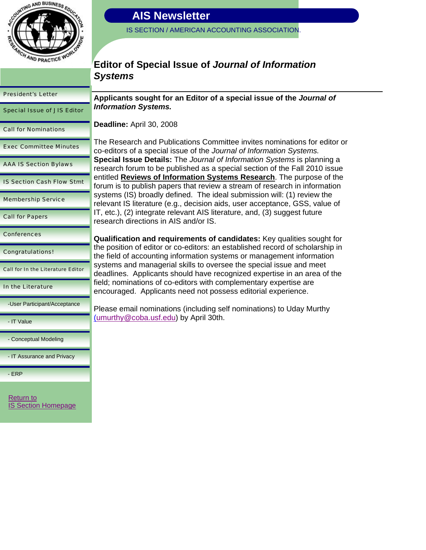

IS SECTION / AMERICAN ACCOUNTING ASSOCIATION.

### **Editor of Special Issue of** *Journal of Information Systems*

| <b>President's Letter</b>                | <b>Applic</b>           |
|------------------------------------------|-------------------------|
| <b>Special Issue of JIS Editor</b>       | <b>Inform</b>           |
| <b>Call for Nominations</b>              | <b>Deadli</b>           |
| <b>Exec Committee Minutes</b>            | The Re<br>co-edit       |
| <b>AAA IS Section Bylaws</b>             | <b>Specia</b><br>resear |
| <b>IS Section Cash Flow Stmt</b>         | entitled<br>forum       |
| <b>Membership Service</b>                | system<br>relevar       |
| <b>Call for Papers</b>                   | IT, etc.<br>resear      |
| <b>Conferences</b>                       | Qualif                  |
| <b>Congratulations!</b>                  | the pos<br>the fiel     |
|                                          |                         |
| <b>Call for In the Literature Editor</b> | system<br>deadlir       |
| In the Literature                        | field; n<br>encour      |
| -User Participant/Acceptance             | Please                  |
| - IT Value                               | <u>(umurt</u>           |
| - Conceptual Modeling                    |                         |
| - IT Assurance and Privacy               |                         |
| - ERP                                    |                         |

Return to IS Section Homepage

**Applicants sought for an Editor of a special issue of the** *Journal of <u>Information</u>* Systems.

**ine:** April 30, 2008

esearch and Publications Committee invites nominations for editor or tors of a special issue of the *Journal of Information Systems.* **Special Issue Details:** The *Journal of Information Systems* is planning a ch forum to be published as a special section of the Fall 2010 issue d Reviews of Information Systems Research. The purpose of the is to publish papers that review a stream of research in information is (IS) broadly defined. The ideal submission will: (1) review the nt IS literature (e.g., decision aids, user acceptance, GSS, value of  $I$ , (2) integrate relevant AIS literature, and, (3) suggest future ch directions in AIS and/or IS.

**ication and requirements of candidates:** Key qualities sought for sition of editor or co-editors: an established record of scholarship in d of accounting information systems or management information is and managerial skills to oversee the special issue and meet nes. Applicants should have recognized expertise in an area of the ominations of co-editors with complementary expertise are aged. Applicants need not possess editorial experience.

email nominations (including self nominations) to Uday Murthy hy@coba.usf.edu) by April 30th.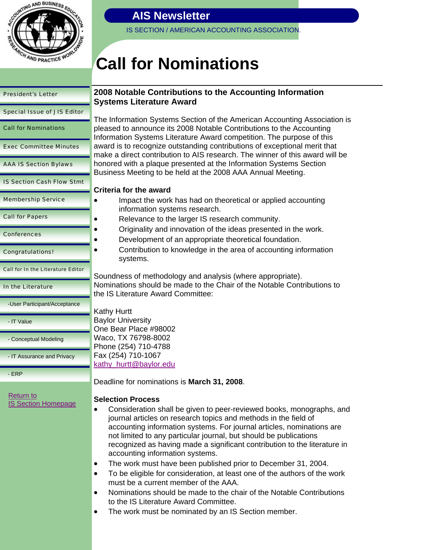

IS SECTION / AMERICAN ACCOUNTING ASSOCIATION.

# **Call for Nominations**

| <b>President's Letter</b>                | <b>2008 Not</b><br>Systems             |
|------------------------------------------|----------------------------------------|
| <b>Special Issue of JIS Editor</b>       |                                        |
| <b>Call for Nominations</b>              | The Inforn<br>pleased to<br>Informatio |
| <b>Exec Committee Minutes</b>            | award is to<br>make a di               |
| <b>AAA IS Section Bylaws</b>             | honored w<br><b>Business</b>           |
| <b>IS Section Cash Flow Stmt</b>         | <b>Criteria fo</b>                     |
| <b>Membership Service</b>                | lm                                     |
| <b>Call for Papers</b>                   | inf<br>Re                              |
| <b>Conferences</b>                       | Or<br>De                               |
| <b>Congratulations!</b>                  | Co<br>sy:                              |
|                                          |                                        |
| <b>Call for In the Literature Editor</b> |                                        |
| In the Literature                        | Soundnes<br>Nominatio<br>the IS Lite   |
| -User Participant/Acceptance             |                                        |
| - IT Value                               | Kathy Hur<br>Baylor Un                 |
| - Conceptual Modeling                    | One Bear<br>Waco, TX                   |
| - IT Assurance and Privacy               | Phone (25<br>Fax (254)                 |
| - ERP                                    | kathy_hur<br>Deadline f                |

### **2008 2016 Notable Contributions to the Accounting Information Literature Award**

nation Systems Section of the American Accounting Association is pleased to announce its 2008 Notable Contributions to the Accounting In Systems Literature Award competition. The purpose of this o recognize outstanding contributions of exceptional merit that rect contribution to AIS research. The winner of this award will be vith a plaque presented at the Information Systems Section Meeting to be held at the 2008 AAA Annual Meeting.

### **Crithe award**

- pact the work has had on theoretical or applied accounting ormation systems research.
- elevance to the larger IS research community.
- iginality and innovation of the ideas presented in the work.
- velopment of an appropriate theoretical foundation.
- ntribution to knowledge in the area of accounting information stems.

s of methodology and analysis (where appropriate). Ins should be made to the Chair of the Notable Contributions to **trature Award Committee:** 

| Kathy Hurtt              |
|--------------------------|
| <b>Baylor University</b> |
| One Bear Place #98002    |
| Waco, TX 76798-8002      |
| Phone (254) 710-4788     |
| Fax (254) 710-1067       |
| kathy hurtt@baylor.edu   |

for nominations is March 31, 2008.

### **Process**

- deration shall be given to peer-reviewed books, monographs, and al articles on research topics and methods in the field of inting information systems. For journal articles, nominations are limited to any particular journal, but should be publications recognized as having made a significant contribution to the literature in accounting information systems.
- The work must have been published prior to December 31, 2004.
- To be eligible for consideration, at least one of the authors of the work must be a current member of the AAA.
- Nominations should be made to the chair of the Notable Contributions to the IS Literature Award Committee.
- The work must be nominated by an IS Section member.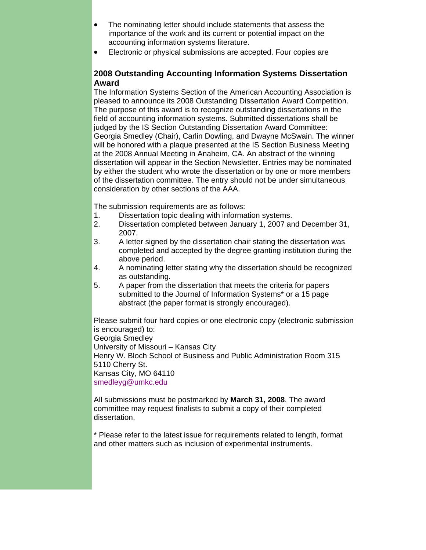- The nominating letter should include statements that assess the importance of the work and its current or potential impact on the accounting information systems literature.
- Electronic or physical submissions are accepted. Four copies are

### **2008 Outstanding Accounting Information Systems Dissertation Award**

The Information Systems Section of the American Accounting Association is pleased to announce its 2008 Outstanding Dissertation Award Competition. The purpose of this award is to recognize outstanding dissertations in the field of accounting information systems. Submitted dissertations shall be judged by the IS Section Outstanding Dissertation Award Committee: Georgia Smedley (Chair), Carlin Dowling, and Dwayne McSwain. The winner will be honored with a plaque presented at the IS Section Business Meeting at the 2008 Annual Meeting in Anaheim, CA. An abstract of the winning dissertation will appear in the Section Newsletter. Entries may be nominated by either the student who wrote the dissertation or by one or more members of the dissertation committee. The entry should not be under simultaneous consideration by other sections of the AAA.

The submission requirements are as follows:

- 1. Dissertation topic dealing with information systems.
- 2. Dissertation completed between January 1, 2007 and December 31, 2007.
- 3. A letter signed by the dissertation chair stating the dissertation was completed and accepted by the degree granting institution during the above period.
- 4. A nominating letter stating why the dissertation should be recognized as outstanding.
- 5. A paper from the dissertation that meets the criteria for papers submitted to the Journal of Information Systems\* or a 15 page abstract (the paper format is strongly encouraged).

Please submit four hard copies or one electronic copy (electronic submission is encouraged) to: Georgia Smedley University of Missouri – Kansas City Henry W. Bloch School of Business and Public Administration Room 315 5110 Cherry St. Kansas City, MO 64110 smedleyg@umkc.edu

All submissions must be postmarked by **March 31, 2008**. The award committee may request finalists to submit a copy of their completed dissertation.

\* Please refer to the latest issue for requirements related to length, format and other matters such as inclusion of experimental instruments.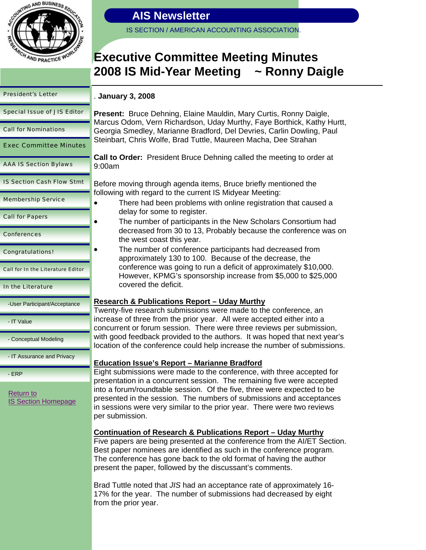

IS SECTION / AMERICAN ACCOUNTING ASSOCIATION.

# **Executive Committee Meeting Minutes 2008 IS Mid-Year Meeting ~ Ronny Daigle**

|  |  | <b>President's Letter</b> |  |
|--|--|---------------------------|--|
|--|--|---------------------------|--|

Call for Nominations

Special Issue of JIS Editor

Exec Committee Minutes

IS Section Cash Flow Stmt

AAA IS Section Bylaws

Membership Service

### . **January 3, 2008**

**Present:** Bruce Dehning, Elaine Mauldin, Mary Curtis, Ronny Daigle, Marcus Odom, Vern Richardson, Uday Murthy, Faye Borthick, Kathy Hurtt, Georgia Smedley, Marianne Bradford, Del Devries, Carlin Dowling, Paul Steinbart, Chris Wolfe, Brad Tuttle, Maureen Macha, Dee Strahan

**Call to Order:** President Bruce Dehning called the meeting to order at 9:00am

Before moving through agenda items, Bruce briefly mentioned the following with regard to the current IS Midyear Meeting:

- There had been problems with online registration that caused a delay for some to register.
	- The number of participants in the New Scholars Consortium had decreased from 30 to 13, Probably because the conference was on the west coast this year.
- The number of conference participants had decreased from approximately 130 to 100. Because of the decrease, the conference was going to run a deficit of approximately \$10,000. However, KPMG's sponsorship increase from \$5,000 to \$25,000 covered the deficit.

### **Research & Publications Report – Uday Murthy**

Twenty-five research submissions were made to the conference, an increase of three from the prior year. All were accepted either into a concurrent or forum session. There were three reviews per submission, with good feedback provided to the authors. It was hoped that next year's location of the conference could help increase the number of submissions.

### **Education Issue's Report – Marianne Bradford**

Eight submissions were made to the conference, with three accepted for presentation in a concurrent session. The remaining five were accepted into a forum/roundtable session. Of the five, three were expected to be presented in the session. The numbers of submissions and acceptances in sessions were very similar to the prior year. There were two reviews per submission.

### **Continuation of Research & Publications Report – Uday Murthy**

Five papers are being presented at the conference from the AI/ET Section. Best paper nominees are identified as such in the conference program. The conference has gone back to the old format of having the author present the paper, followed by the discussant's comments.

Brad Tuttle noted that *JIS* had an acceptance rate of approximately 16- 17% for the year. The number of submissions had decreased by eight from the prior year.

Call for Papers

Conferences

Congratulations!

Call for In the Literature Editor

### In the Literature

-User Participant/Acceptance

- IT Value

- Conceptual Modeling

- IT Assurance and Privacy

- ERP

Return to IS Section Homepage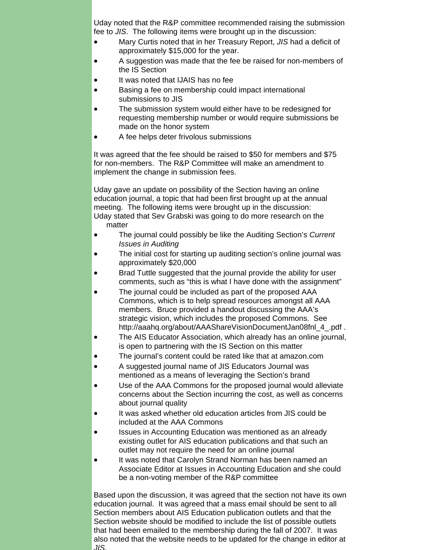Uday noted that the R&P committee recommended raising the submission fee to *JIS*. The following items were brought up in the discussion:

- Mary Curtis noted that in her Treasury Report, *JIS* had a deficit of approximately \$15,000 for the year.
- A suggestion was made that the fee be raised for non-members of the IS Section
- It was noted that IJAIS has no fee
- Basing a fee on membership could impact international submissions to JIS
- The submission system would either have to be redesigned for requesting membership number or would require submissions be made on the honor system
- A fee helps deter frivolous submissions

It was agreed that the fee should be raised to \$50 for members and \$75 for non-members. The R&P Committee will make an amendment to implement the change in submission fees.

Uday gave an update on possibility of the Section having an online education journal, a topic that had been first brought up at the annual meeting. The following items were brought up in the discussion: Uday stated that Sev Grabski was going to do more research on the matter

- The journal could possibly be like the Auditing Section's *Current Issues in Auditing*
- The initial cost for starting up auditing section's online journal was approximately \$20,000
- Brad Tuttle suggested that the journal provide the ability for user comments, such as "this is what I have done with the assignment"
- The journal could be included as part of the proposed AAA Commons, which is to help spread resources amongst all AAA members. Bruce provided a handout discussing the AAA's strategic vision, which includes the proposed Commons. See http://aaahq.org/about/AAAShareVisionDocumentJan08fnl\_4\_.pdf.
- The AIS Educator Association, which already has an online journal, is open to partnering with the IS Section on this matter
- The journal's content could be rated like that at amazon.com
- A suggested journal name of JIS Educators Journal was mentioned as a means of leveraging the Section's brand
- Use of the AAA Commons for the proposed journal would alleviate concerns about the Section incurring the cost, as well as concerns about journal quality
- It was asked whether old education articles from JIS could be included at the AAA Commons
- Issues in Accounting Education was mentioned as an already existing outlet for AIS education publications and that such an outlet may not require the need for an online journal
- It was noted that Carolyn Strand Norman has been named an Associate Editor at Issues in Accounting Education and she could be a non-voting member of the R&P committee

Based upon the discussion, it was agreed that the section not have its own education journal. It was agreed that a mass email should be sent to all Section members about AIS Education publication outlets and that the Section website should be modified to include the list of possible outlets that had been emailed to the membership during the fall of 2007. It was also noted that the website needs to be updated for the change in editor at *JIS*.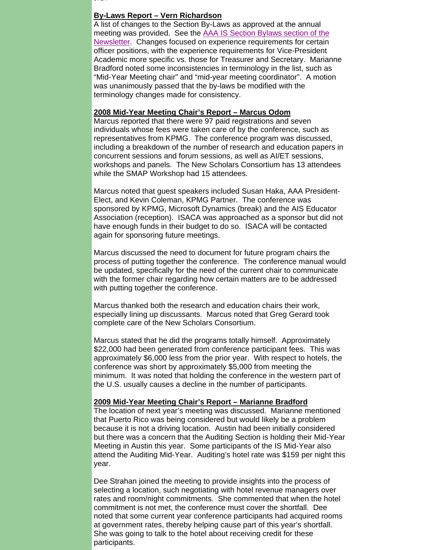*JIS*.

#### **By-Laws Report – Vern Richardson**

A list of changes to the Section By-Laws as approved at the annual meeting was provided. See the AAA IS Section Bylaws section of the Newsletter. Changes focused on experience requirements for certain officer positions, with the experience requirements for Vice-President Academic more specific vs. those for Treasurer and Secretary. Marianne Bradford noted some inconsistencies in terminology in the list, such as "Mid-Year Meeting chair" and "mid-year meeting coordinator". A motion was unanimously passed that the by-laws be modified with the terminology changes made for consistency.

#### **2008 Mid-Year Meeting Chair's Report – Marcus Odom**

Marcus reported that there were 97 paid registrations and seven individuals whose fees were taken care of by the conference, such as representatives from KPMG. The conference program was discussed, including a breakdown of the number of research and education papers in concurrent sessions and forum sessions, as well as AI/ET sessions, workshops and panels. The New Scholars Consortium has 13 attendees while the SMAP Workshop had 15 attendees.

Marcus noted that guest speakers included Susan Haka, AAA President-Elect, and Kevin Coleman, KPMG Partner. The conference was sponsored by KPMG, Microsoft Dynamics (break) and the AIS Educator Association (reception). ISACA was approached as a sponsor but did not have enough funds in their budget to do so. ISACA will be contacted again for sponsoring future meetings.

Marcus discussed the need to document for future program chairs the process of putting together the conference. The conference manual would be updated, specifically for the need of the current chair to communicate with the former chair regarding how certain matters are to be addressed with putting together the conference.

Marcus thanked both the research and education chairs their work, especially lining up discussants. Marcus noted that Greg Gerard took complete care of the New Scholars Consortium.

Marcus stated that he did the programs totally himself. Approximately \$22,000 had been generated from conference participant fees. This was approximately \$6,000 less from the prior year. With respect to hotels, the conference was short by approximately \$5,000 from meeting the minimum. It was noted that holding the conference in the western part of the U.S. usually causes a decline in the number of participants.

#### **2009 Mid-Year Meeting Chair's Report – Marianne Bradford**

The location of next year's meeting was discussed. Marianne mentioned that Puerto Rico was being considered but would likely be a problem because it is not a driving location. Austin had been initially considered but there was a concern that the Auditing Section is holding their Mid-Year Meeting in Austin this year. Some participants of the IS Mid-Year also attend the Auditing Mid-Year. Auditing's hotel rate was \$159 per night this year.

Dee Strahan joined the meeting to provide insights into the process of selecting a location, such negotiating with hotel revenue managers over rates and room/night commitments. She commented that when the hotel commitment is not met, the conference must cover the shortfall. Dee noted that some current year conference participants had acquired rooms at government rates, thereby helping cause part of this year's shortfall. She was going to talk to the hotel about receiving credit for these participants.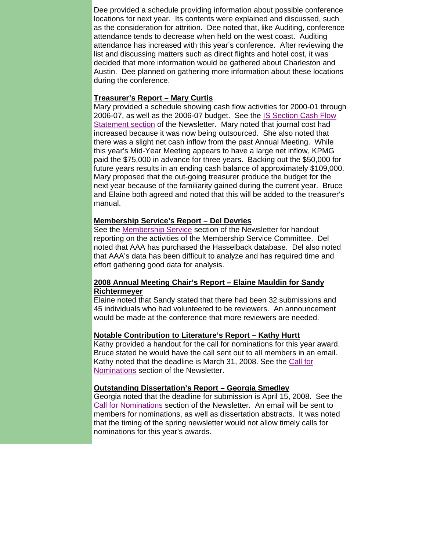Dee provided a schedule providing information about possible conference locations for next year. Its contents were explained and discussed, such as the consideration for attrition. Dee noted that, like Auditing, conference attendance tends to decrease when held on the west coast. Auditing attendance has increased with this year's conference. After reviewing the list and discussing matters such as direct flights and hotel cost, it was decided that more information would be gathered about Charleston and Austin. Dee planned on gathering more information about these locations during the conference.

### **Treasurer's Report – Mary Curtis**

Mary provided a schedule showing cash flow activities for 2000-01 through 2006-07, as well as the 2006-07 budget. See the IS Section Cash Flow Statement section of the Newsletter. Mary noted that journal cost had increased because it was now being outsourced. She also noted that there was a slight net cash inflow from the past Annual Meeting. While this year's Mid-Year Meeting appears to have a large net inflow, KPMG paid the \$75,000 in advance for three years. Backing out the \$50,000 for future years results in an ending cash balance of approximately \$109,000. Mary proposed that the out-going treasurer produce the budget for the next year because of the familiarity gained during the current year. Bruce and Elaine both agreed and noted that this will be added to the treasurer's manual.

### **Membership Service's Report – Del Devries**

See the Membership Service section of the Newsletter for handout reporting on the activities of the Membership Service Committee. Del noted that AAA has purchased the Hasselback database. Del also noted that AAA's data has been difficult to analyze and has required time and effort gathering good data for analysis.

### **2008 Annual Meeting Chair's Report – Elaine Mauldin for Sandy Richtermeyer**

Elaine noted that Sandy stated that there had been 32 submissions and 45 individuals who had volunteered to be reviewers. An announcement would be made at the conference that more reviewers are needed.

### **Notable Contribution to Literature's Report – Kathy Hurtt**

Kathy provided a handout for the call for nominations for this year award. Bruce stated he would have the call sent out to all members in an email. Kathy noted that the deadline is March 31, 2008. See the Call for Nominations section of the Newsletter.

### **Outstanding Dissertation's Report – Georgia Smedley**

Georgia noted that the deadline for submission is April 15, 2008. See the Call for Nominations section of the Newsletter. An email will be sent to members for nominations, as well as dissertation abstracts. It was noted that the timing of the spring newsletter would not allow timely calls for nominations for this year's awards.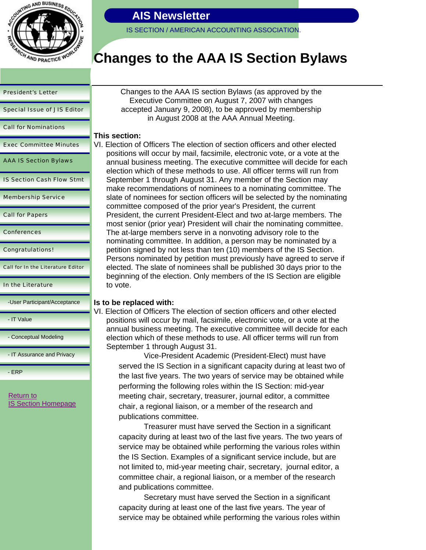

IS SECTION / AMERICAN ACCOUNTING ASSOCIATION.

# **Changes to the AAA IS Section Bylaws**

#### President's Letter

Special Issue of JIS Editor

Call for Nominations

Exec Committee Minutes

AAA IS Section Bylaws

IS Section Cash Flow Stmt

Membership Service

Call for Papers

**Conferences** 

Congratulations!

Call for In the Literature Editor

In the Literature

-User Participant/Acceptance

- IT Value

- Conceptual Modeling

- IT Assurance and Privacy

- ERP

Return to IS Section Homepage Changes to the AAA IS section Bylaws (as approved by the Executive Committee on August 7, 2007 with changes accepted January 9, 2008), to be approved by membership in August 2008 at the AAA Annual Meeting.

### **This section:**

VI. Election of Officers The election of section officers and other elected positions will occur by mail, facsimile, electronic vote, or a vote at the annual business meeting. The executive committee will decide for each election which of these methods to use. All officer terms will run from September 1 through August 31. Any member of the Section may make recommendations of nominees to a nominating committee. The slate of nominees for section officers will be selected by the nominating committee composed of the prior year's President, the current President, the current President-Elect and two at-large members. The most senior (prior year) President will chair the nominating committee. The at-large members serve in a nonvoting advisory role to the nominating committee. In addition, a person may be nominated by a petition signed by not less than ten (10) members of the IS Section. Persons nominated by petition must previously have agreed to serve if elected. The slate of nominees shall be published 30 days prior to the beginning of the election. Only members of the IS Section are eligible to vote.

### **Is to be replaced with:**

VI. Election of Officers The election of section officers and other elected positions will occur by mail, facsimile, electronic vote, or a vote at the annual business meeting. The executive committee will decide for each election which of these methods to use. All officer terms will run from September 1 through August 31.

 Vice-President Academic (President-Elect) must have served the IS Section in a significant capacity during at least two of the last five years. The two years of service may be obtained while performing the following roles within the IS Section: mid-year meeting chair, secretary, treasurer, journal editor, a committee chair, a regional liaison, or a member of the research and publications committee.

 Treasurer must have served the Section in a significant capacity during at least two of the last five years. The two years of service may be obtained while performing the various roles within the IS Section. Examples of a significant service include, but are not limited to, mid-year meeting chair, secretary, journal editor, a committee chair, a regional liaison, or a member of the research and publications committee.

 Secretary must have served the Section in a significant capacity during at least one of the last five years. The year of service may be obtained while performing the various roles within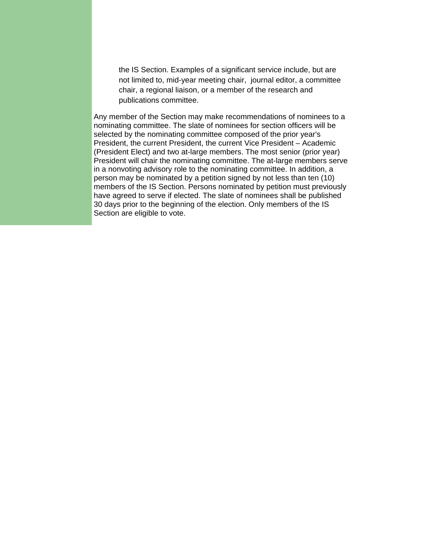the IS Section. Examples of a significant service include, but are not limited to, mid-year meeting chair, journal editor, a committee chair, a regional liaison, or a member of the research and publications committee.

Any member of the Section may make recommendations of nominees to a nominating committee. The slate of nominees for section officers will be selected by the nominating committee composed of the prior year's President, the current President, the current Vice President – Academic (President Elect) and two at-large members. The most senior (prior year) President will chair the nominating committee. The at-large members serve in a nonvoting advisory role to the nominating committee. In addition, a person may be nominated by a petition signed by not less than ten (10) members of the IS Section. Persons nominated by petition must previously have agreed to serve if elected. The slate of nominees shall be published 30 days prior to the beginning of the election. Only members of the IS Section are eligible to vote.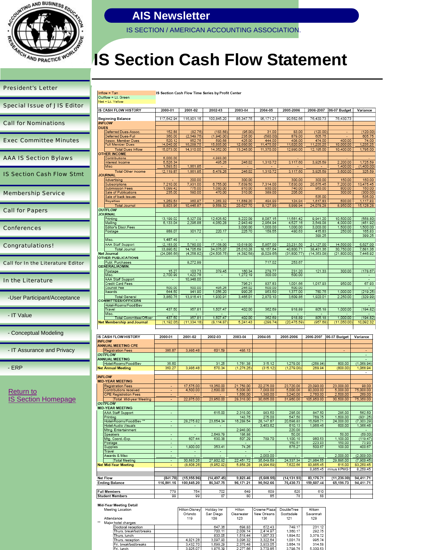

IS SECTION / AMERICAN ACCOUNTING ASSOCIATION.

IS Section Cash Flow Time Series by Profit Center

# **IS Section Cash Flow Statement**

| <b>President's Letter</b>                |                                                        |
|------------------------------------------|--------------------------------------------------------|
|                                          | Inflow = Tan<br>Outflow = Lt. Green                    |
| <b>Special Issue of JIS Editor</b>       | Net = Lt. Yellow                                       |
|                                          | IS CASH FLOW HISTORY                                   |
| <b>Call for Nominations</b>              | <b>Beginning Balance</b><br><b>INFLOW</b>              |
|                                          | <b>DUES</b>                                            |
|                                          | Deferred Dues-Assoc.<br>Deferred Dues-Full             |
| <b>Exec Committee Minutes</b>            | Assoc. Member Dues<br>Full Member Dues                 |
|                                          |                                                        |
|                                          | <b>Total Dues Inflow</b><br><b>OTHER INCOME</b>        |
| <b>AAA IS Section Bylaws</b>             | Contributions                                          |
|                                          | Interest Income<br>Misc                                |
|                                          | <b>Total Other Income</b>                              |
| <b>IS Section Cash Flow Stmt</b>         | <b>JOURNAL</b>                                         |
|                                          | Advertising<br>Subscriptions                           |
|                                          | Submission Fees<br>Sale of Publications                |
| <b>Membership Service</b>                | Sale of back issues                                    |
|                                          | Royalties                                              |
|                                          | <b>Total Journal</b>                                   |
| <b>Call for Papers</b>                   | OUTFLOW                                                |
|                                          | <b>JOURNAL</b><br>Printing                             |
|                                          | Mailing                                                |
| Conferences                              | Editor's Discr.Fees                                    |
|                                          | Postage                                                |
|                                          | Misc.                                                  |
| <b>Congratulations!</b>                  | AAA Staff Support                                      |
|                                          | <b>Total Journal</b>                                   |
|                                          | Net Journal<br><b>OTHER PUBLICATIONS</b>               |
| <b>Call for In the Literature Editor</b> | Publ. Purchases                                        |
|                                          | GENERAL/ADMIN.                                         |
|                                          | Postage                                                |
| In the Literature                        | Misc.<br><b>AAA Staff Support</b>                      |
|                                          | Credit Card Fees                                       |
|                                          | Council Fee<br>Awards                                  |
|                                          | <b>Total General</b>                                   |
| -User Participant/Acceptance             | <b>COMMITTEES/OFFICERS</b>                             |
|                                          | Hotel-Rooms/Food/Bev                                   |
|                                          | Travel<br>Misc.                                        |
| - IT Value                               | Total Committee/Officer                                |
|                                          | Net Membership and Journal                             |
|                                          |                                                        |
| - Conceptual Modeling                    | IS CASH FLOW HISTORY                                   |
|                                          | <b>INFLOW</b>                                          |
|                                          | <b>ANNUAL MEETING CPE</b>                              |
| - IT Assurance and Privacy               | <b>Registration Fees</b><br><b>OUTFLOW</b>             |
|                                          | ANNUAL MEETING                                         |
|                                          | Hotel-Rooms/Food/Bev                                   |
| - ERP                                    | <b>Net Annual Meeting</b>                              |
|                                          | <b>INFLOW</b>                                          |
|                                          | <b>MID-YEAR MEETING</b>                                |
|                                          | <b>Registration Fees</b>                               |
| Return to                                | Contributions received                                 |
|                                          | <b>CPE Registration Fees</b><br>Total Mid-year Meeting |
| <b>IS Section Homepage</b>               | <b>OUTFLOW</b>                                         |
|                                          | <b>MID-YEAR MEETING</b>                                |
|                                          | <b>AAA Staff Support</b>                               |
|                                          | Printing<br>Hotel-Rooms/Food/Bev **                    |
|                                          | Hotel-Audio Visuals                                    |
|                                          | Mtng. Entertainment                                    |
|                                          | Speakers                                               |
|                                          | Mtg. Coord.-Exp.<br>Postage                            |
|                                          | Supplies                                               |
|                                          | Travel                                                 |
|                                          | Awards & Misc<br>Total Meeting                         |
|                                          | <b>Net Mid-Year Meeting</b>                            |
|                                          |                                                        |
|                                          |                                                        |
|                                          | Net Flow<br><b>Ending Balance</b>                      |
|                                          |                                                        |

| <b>CASH FLOW HISTORY</b> |                                | 2000-01               | 2001-02              | 2002-03                  | 2003-04              | 2004-05              | 2005-2006             | 2006-2007            | 06-07 Budget             | Variance                 |
|--------------------------|--------------------------------|-----------------------|----------------------|--------------------------|----------------------|----------------------|-----------------------|----------------------|--------------------------|--------------------------|
|                          |                                |                       |                      |                          |                      |                      |                       |                      |                          |                          |
|                          | eginning Balance               | 117.642.94            | 116,801.16           | 100.845.20               | 86.347.75            | 96.171.21            | 90.562.66             | 76,430.73            | 76.430.73                |                          |
|                          | <b>FLOW</b><br><b>JES</b>      |                       |                      |                          |                      |                      |                       |                      |                          |                          |
|                          | Deferred Dues-Assoc.           | 152.88                | (82.76)              | (183.68)                 | (95.00)              | 31.00                | 83.00                 | (120.00)             | $\blacksquare$           | (120.00)                 |
|                          | Deferred Dues-Full             | 360.00                | (2.549.75)           | (1.940.00)               | 235.00               | (580.00)             | 879.00                | 605.75               |                          | 605.75                   |
|                          | Assoc. Member Dues             | 520.12                | 652.76               | 590.68                   | 425.00               | 444.00               | 408.00                | 474.00               | 400.00                   | 74.00                    |
|                          | <b>Full Member Dues</b>        | 14,040.00             | 16,289.75            | 15,885.00                | 12,680.00            | 11,475.00            | 11,620.00             | 11,235.25            | 10.000.00                | 1.235.25                 |
|                          | <b>Total Dues Inflow</b>       | 15,073.00             | 14,310.00            | 14,352.00                | 13,245.00            | 11,370.00            | 12,990.00             | 12,195.00            | 10,400.00                | 1,795.00                 |
|                          | <b>THER INCOME</b>             |                       |                      |                          |                      |                      |                       |                      |                          |                          |
|                          | Contributions                  | 5.000.00              |                      | 4.983.00                 |                      |                      |                       |                      |                          |                          |
|                          | Interest Income                | 5,526.34              |                      | 495.26                   | 246.02               | 1,310.72             | 3,117.60              | 3,925.59             | 2,200.00                 | 1.725.59                 |
|                          | Misc                           | 1,593.53              | 1,661.85             |                          |                      |                      |                       |                      | 1,400.00                 | (1,400.00)               |
|                          | <b>Total Other Income</b>      | 12,119.87             | 1,661.85             | 5,478.26                 | 246.02               | 1,310.72             | 3.117.60              | 3,925.59             | 3,600.00                 | 325.59                   |
|                          | <b>JURNAL</b>                  |                       |                      |                          |                      |                      |                       |                      |                          |                          |
|                          | Advertising                    |                       | 200.00               |                          | 300.00               |                      | 300.00                | 300.00               | 150.00                   | 150.00                   |
|                          | Subscriptions                  | 7,210.00              | 7,931.00             | 6,755.00                 | 7,639.50             | 7,314.00             | 7,630.00              | 20,675.45            | 7,200.00                 | 13,475.45                |
|                          | <b>Submission Fees</b>         | 1.099.42              | 775.00               | 1.080.00                 | 810.00               | 930.00               | 740.00                | 950.00               | 800.00                   | 150.00                   |
|                          | Sale of Publications           | 235.00                | 580.00               | 470.00                   | 310.00               | 389.00               | 205.00                |                      | 300.00                   | (300.00)                 |
|                          | Sale of back issues            |                       |                      |                          |                      |                      |                       | 535.00               |                          | 535.00                   |
|                          | Rovalties                      | 1.259.54              | 960.87               | 1.263.32                 | 11,568.20            | 494.99               | 124.94                | 1.617.83             | 500.00                   | 1.117.83                 |
|                          | <b>Total Journal</b>           | 9.803.96              | 10.446.87            | 9.568.32                 | 20.627.70            | 9.127.99             | 8.999.94              | 24,078.28            | 8,950.00                 | 15,128.28                |
|                          | <b>UTFLOW</b>                  |                       |                      |                          |                      |                      |                       |                      |                          |                          |
|                          | <b>JURNAL</b>                  |                       |                      |                          |                      |                      |                       |                      |                          |                          |
|                          | Printing<br>Mailing            | 13,199.02<br>6,133.04 | 6,327.09<br>2,296.88 | 12.626.62<br>4.060.28    | 8.222.09<br>2,943.49 | 8,087.15<br>2,954.94 | 11,561.42<br>4.527.16 | 9,941.20<br>3,548.08 | 10,500.00<br>4.000.00    | (558.80)<br>(451.92)     |
|                          | Editor's Discr.Fees            |                       |                      |                          | 3,000.00             | 1,000.00             | 1,000.00              | 3,000.00             | 1,500.00                 | 1,500.00                 |
|                          | Postage                        | 888.07                | 301.72               | 220.17                   | 225.70               | 158.55               | 480.63                | 415.83               | 250.00                   | 165.83                   |
|                          |                                |                       |                      |                          |                      |                      |                       | 399.25               |                          | 399.25                   |
|                          | Misc.                          | 1,487.49              | ÷                    |                          |                      |                      |                       |                      |                          |                          |
|                          | <b>AAA Staff Support</b>       | 12,183.00             | 5,780.00             | 17,168.00                | 10,619.00            | 5,957.00             | 23,231.50             | 21,127.00            | 14,500.00                | 6,627.00                 |
|                          | <b>Total Journal</b>           | 33,890.62             | 14.705.69            | 34.075.07                | 25.010.28            | 18,157.64            | 40.800.71             | 38,431.36            | 30.750.00                | 7.681.36                 |
|                          | et Journal                     | (24,086.66)           | (4, 258.82)          | (24, 506.75)             | (4, 382.58)          | (9,029.65)           | (31, 800.77)          | (14, 353.08)         | (21.800.00)              | 7,446.92                 |
|                          | <b>THER PUBLICATIONS</b>       |                       |                      |                          |                      |                      |                       |                      |                          |                          |
|                          | Publ. Purchases                |                       | 8,272.99             |                          |                      | 717.02               | 253.67                |                      |                          |                          |
|                          | ENERAL/ADMIN.                  |                       |                      |                          |                      |                      |                       |                      |                          |                          |
|                          | Postage                        | 15.27                 | 103.73               | 379.45                   | 160.34               | 278.77               | 231.20                | 121.33               | 300.00                   | (178.67)                 |
|                          | Misc.                          | 2,700.99              | 1.422.78             | $\overline{\phantom{a}}$ | 1.272.19             | 300.00               | 500.00                |                      |                          | $\overline{\phantom{a}}$ |
|                          | <b>AAA Staff Support</b>       | ÷                     | 10,948.00            |                          | $\sim$               |                      |                       |                      |                          | ÷                        |
|                          | Credit Card Fees               |                       |                      |                          | 796.21               | 837.83               | 1.001.66              | 1,017.93             | 950.00                   | 67.93                    |
|                          | Council Fee                    | 500.00                | 500.00               | 495.26                   | 246.02               | 500.00               | 500.00                |                      |                          |                          |
|                          | Awards                         | 644.50                | 841.90               | 1.056.20                 | 990.25               | 953.50               | 1.377.00              | 780.75               | 1.000.00                 | (219.25)                 |
|                          | <b>Total General</b>           | 3,860.76              | 13,816.41            | 1,930.91                 | 3,465.01             | 2,870.10             | 3,609.86              | 1,920.01             | 2.250.00                 | (329.99)                 |
|                          | <b>MMITTEES/OFFICERS</b>       |                       |                      |                          |                      |                      |                       |                      |                          |                          |
|                          | Hotel-Rooms/Food/Bev<br>Travel | 437.50                | 957.81               | 1.507.47                 | 402.00               | 362.69               | 918.89                | 805.18               | 1.000.00                 | (194.82)                 |
|                          | Misc.                          |                       |                      |                          |                      |                      |                       |                      |                          |                          |
|                          | Total Committee/Officer        | 437.50                | 957.81               | 1,507.47                 | 402.00               | 362.69               | 918.89                | 805.18               | 1.000.00                 | (194.82)                 |
|                          | et Membership and Journal      | (1, 192.05)           | (11, 334, 18)        | (8, 114.87)              | 5,241.43             | (298.74)             | (20.475.59)           | (957.68)             | (11,050,00)              | 10.092.32                |
|                          |                                |                       |                      |                          |                      |                      |                       |                      |                          |                          |
|                          |                                |                       |                      |                          |                      |                      |                       |                      |                          |                          |
|                          | <b>CASH FLOW HISTORY</b>       | 2000-01               | 2001-02              | 2002-03                  | 2003-04              | 2004-05              | 2005-2006             | 2006-2007            | 06-07 Budget             | Variance                 |
|                          | <b>FLOW</b>                    |                       |                      |                          |                      |                      |                       |                      |                          |                          |
|                          | <b>INUAL MEETING CPE</b>       |                       |                      |                          |                      |                      |                       |                      |                          |                          |
|                          | Registration Fees              | 386.87                | 3,986.48             | 601.59                   | 485.13               |                      |                       |                      | $\overline{\phantom{a}}$ | $\overline{a}$           |
|                          | <b>ITFLOW</b>                  |                       |                      |                          |                      |                      |                       |                      |                          | $\overline{\phantom{a}}$ |
|                          | <b>INUAL MEETING</b>           |                       |                      |                          |                      |                      |                       |                      |                          |                          |
|                          | Hotel-Rooms/Food/Bev           | 36.60                 |                      | 31.25                    | 1,761.38             | 315.12               | 1,279.00              | (268.94)             | 800.00                   | (1,068.94)               |
|                          | t Annual Meeting               | 350.27                | 3,986.48             | 570.34                   | (1.276.25)           | (315.12)             | (1.279.00)            | 268.94               | (800.00)                 | 1.068.94                 |
|                          |                                |                       |                      |                          |                      |                      |                       |                      |                          |                          |
|                          | FLOW                           |                       |                      |                          |                      |                      |                       |                      |                          |                          |
|                          |                                |                       |                      |                          |                      |                      |                       |                      |                          |                          |

### Mid-Year Meeting Detail

**Full Members**<br>Student Members

|  | Meeting Location        | Hilton-Disney<br>Orlando | Holiday Inn<br>San Diego | Hilton<br>Clearwater | Crowne Plaza<br>New Orleans | DoubleTree<br>Scottsdale | Hiltom<br>Savannah |
|--|-------------------------|--------------------------|--------------------------|----------------------|-----------------------------|--------------------------|--------------------|
|  | Attendance              | 119                      | 108                      | 123                  | 136                         | 121                      | 129                |
|  | Major hotel charges:    |                          |                          |                      |                             |                          |                    |
|  | Doctoral reception      |                          | 647.36                   | 698.83               | 672.43                      | 749.17                   | 231.12             |
|  | Thurs, breakfast/breaks |                          | 703.11                   | 2.009.14             | 2.414.97                    | 1.360.17                 | 292.75             |
|  | Thurs, lunch            |                          | 833.05                   | 1,518.44             | 1,907.33                    | 1.894.52                 | 3,378.72           |
|  | Thurs, reception        | 4.021.28                 | 3.097.90                 | 3.096.32             | 3.322.64                    | 1,001.78                 | 995.74             |
|  | Fri, breakfast/breaks   | 3,432.70                 | 1.699.29                 | 2.370.48             | 3.933.05                    | 3.864.19                 | 314.58             |
|  | Fri, lunch              | 3.025.07                 | 1.875.39                 | 2.277.66             | 3,770.85                    | 3.798.76                 | 5.330.53           |

17,575.00

22.075.00

28,275.82

607.44

 $7,800.00$ 

30,683.26

 $(8.608.26)$ 

754

 $99$ 

 $(841.78)$   $(15,955.96)$ 

116,801.16 100,845.20

779

 $99$ 

18,350.00

20,950.00

615.00

23,654.34

2,649.79<br>630.38

353.41

27,902.92

 $(14, 497.45)$ 

86,347.75

 $\frac{702}{87}$ 

21,750.00

28.310.0

2,310.00<br>143.75<br>16,289.54

2,940.00

186.88

 $\frac{1}{74.26}$ 

22,451.72

9,823.46

96,171.21

 $rac{649}{80}$ 

22,275.0

0.655.0

983.50<br>275.00<br>28,147.87

3,453.62

789.70

35,649.69

 $(4.994.6)$ 

 $(5,608.55)$ 

90,562.66

 $rac{609}{85}$ 

23,720.00<br>5.000.00

31.960.

285.00<br>547.50<br>20,698.83

610.13

220.00

 $1,100.10$ 150.51

24,337.34

 $(14, 131.93)$ 

76,430.73

 $\frac{620}{78}$ 

05.850.0

847.50<br>768.75<br>16,696.71<br>1,966.46

980.53<br>223.93<br>500.67

21,984.55

83,865.45

83,176.71

 $\frac{610}{88}$ 

159,607.44

75,000.0

562  $\frac{(831.2)}{(7,303.2)}$ 

366.46

 $(50.00)$ 

 $\frac{73.85}{400.67}$ 

 $(7,900.45)$ 

8,250.45

94,411.71

 $\frac{1}{30.500}$ 

 $\frac{285.00}{1,600.00}$ 

600.00

 $\begin{array}{r} 50.00 \\ 1,100.00 \\ 150.00 \\ \hline 100.00 \end{array}$ 

29,885.00

**EXPMG** 

65,195.73

 $(11,235.00)$  94,411.71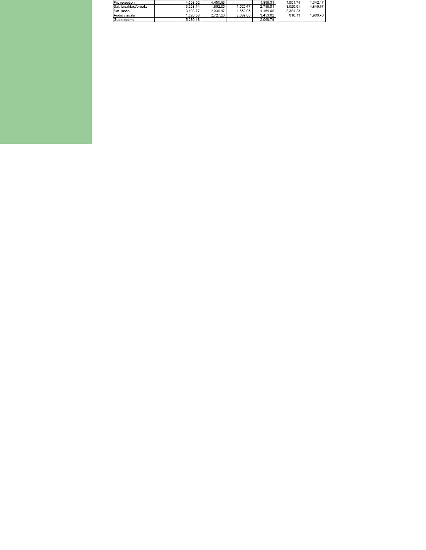| Fri. reception        | 4.508.52 | 4.455.83 |          | 1.898.31 | 1.001.78 | 1.342.17 |
|-----------------------|----------|----------|----------|----------|----------|----------|
| Sat, breakfast/breaks | 3.228.14 | 1.862.05 | 1.526.47 | 2.788.01 | 3.520.91 | 4,849.67 |
| Sat. lunch            | 3.108.77 | 2.339.47 | .660.05  | 4,164.98 | 3.384.23 |          |
| Audio visuals         | 1.626.58 | 2.727.26 | 3.689.00 | 3.453.62 | 610.13   | 1,966.46 |
| Guest rooms           | 5.230.18 |          |          | 2,068.78 |          |          |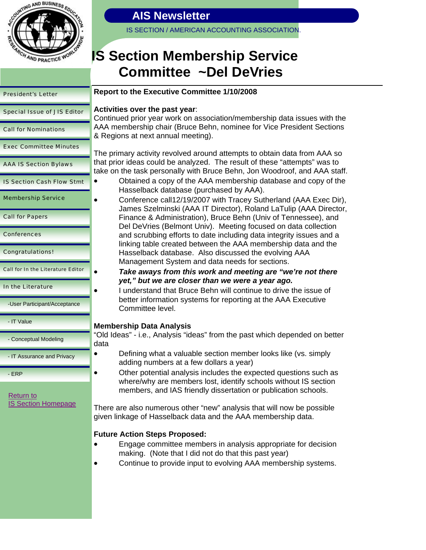

IS SECTION / AMERICAN ACCOUNTING ASSOCIATION.

# **IS Section Membership Service Committee ~Del DeVries**

# President's Letter Special Issue of JIS Editor Call for Nominations Exec Committee Minutes AAA IS Section Bylaws IS Section Cash Flow Stmt Membership Service Call for Papers Conferences Congratulations! Call for In the Literature Editor In the Literature -User Participant/Acceptance - IT Value - Conceptual Modeling - IT Assurance and Privacy - ERP data Return to IS Section Homepage

### **Report to the Executive Committee 1/10/2008**

### **Activities over the past year**:

Continued prior year work on association/membership data issues with the AAA membership chair (Bruce Behn, nominee for Vice President Sections & Regions at next annual meeting).

The primary activity revolved around attempts to obtain data from AAA so that prior ideas could be analyzed. The result of these "attempts" was to take on the task personally with Bruce Behn, Jon Woodroof, and AAA staff.

- Obtained a copy of the AAA membership database and copy of the Hasselback database (purchased by AAA).
- Conference call12/19/2007 with Tracey Sutherland (AAA Exec Dir), James Szelminski (AAA IT Director), Roland LaTulip (AAA Director, Finance & Administration), Bruce Behn (Univ of Tennessee), and Del DeVries (Belmont Univ). Meeting focused on data collection and scrubbing efforts to date including data integrity issues and a linking table created between the AAA membership data and the Hasselback database. Also discussed the evolving AAA Management System and data needs for sections.
	- *Take aways from this work and meeting are "we're not there yet," but we are closer than we were a year ago.*
- I understand that Bruce Behn will continue to drive the issue of better information systems for reporting at the AAA Executive Committee level.

### **Membership Data Analysis**

"Old Ideas" - i.e., Analysis "ideas" from the past which depended on better

- Defining what a valuable section member looks like (vs. simply adding numbers at a few dollars a year)
	- Other potential analysis includes the expected questions such as where/why are members lost, identify schools without IS section members, and IAS friendly dissertation or publication schools.

There are also numerous other "new" analysis that will now be possible given linkage of Hasselback data and the AAA membership data.

### **Future Action Steps Proposed:**

- Engage committee members in analysis appropriate for decision making. (Note that I did not do that this past year)
- Continue to provide input to evolving AAA membership systems.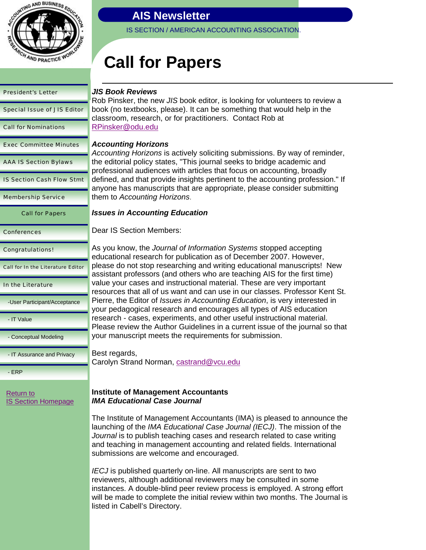

IS SECTION / AMERICAN ACCOUNTING ASSOCIATION.

# **Call for Papers**

| <b>President's Letter</b>                | JIS Bo<br>Rob Pii                                        |  |
|------------------------------------------|----------------------------------------------------------|--|
| <b>Special Issue of JIS Editor</b>       | book (r<br>classro                                       |  |
| <b>Call for Nominations</b>              | <b>RPinsk</b>                                            |  |
| <b>Exec Committee Minutes</b>            | Accou<br>Accour                                          |  |
| <b>AAA IS Section Bylaws</b>             | the edit<br>profess                                      |  |
| <b>IS Section Cash Flow Stmt</b>         | defined<br>anyone                                        |  |
| <b>Membership Service</b>                | them to                                                  |  |
| <b>Call for Papers</b>                   | Issues                                                   |  |
| <b>Conferences</b>                       | Dear IS                                                  |  |
| <b>Congratulations!</b>                  | As you<br>educati                                        |  |
| <b>Call for In the Literature Editor</b> | please<br>assista                                        |  |
| In the Literature                        | value y<br>resourd                                       |  |
| -User Participant/Acceptance             | Pierre,<br>your pe                                       |  |
| - IT Value                               | researd<br>Please                                        |  |
| - Conceptual Modeling                    | your ma                                                  |  |
| - IT Assurance and Privacy               | Best re<br>Carolyr                                       |  |
| - ERP                                    |                                                          |  |
| Return to<br><b>IS Section Homepage</b>  | Institut<br>IMA Ec                                       |  |
|                                          | The Ins<br>launchi<br><i>Journa</i><br>and tea<br>submis |  |
|                                          | <i>IECJ</i> is                                           |  |

### *JIS Book Reviews*

nsker, the new *JIS* book editor, is looking for volunteers to review a to textbooks, please). It can be something that would help in the om, research, or for practitioners. Contact Rob at er@odu.edu

### *Accounting Horizons*

*Accounting Horizons* is actively soliciting submissions. By way of reminder, torial policy states, "This journal seeks to bridge academic and ional audiences with articles that focus on accounting, broadly d, and that provide insights pertinent to the accounting profession." If anyone has manuscripts that are appropriate, please consider submitting them to *Accounting Horizons*.

### *In Accounting Education*

**S** Section Members:

know, the *Journal of Information Systems* stopped accepting onal research for publication as of December 2007. However, do not stop researching and writing educational manuscripts! New int professors (and others who are teaching AIS for the first time) our cases and instructional material. These are very important ces that all of us want and can use in our classes. Professor Kent St. the Editor of *Issues in Accounting Education*, is very interested in edagogical research and encourages all types of AIS education ch - cases, experiments, and other useful instructional material. review the Author Guidelines in a current issue of the journal so that anuscript meets the requirements for submission.

egards, n Strand Norman, castrand@vcu.edu

### **Institute of Management Accountants** *IMA Educational Case Journal*

stitute of Management Accountants (IMA) is pleased to announce the ing of the *IMA Educational Case Journal (IECJ)*. The mission of the *I* is to publish teaching cases and research related to case writing aching in management accounting and related fields. International ssions are welcome and encouraged.

**provided in all on-line.** All manuscripts are sent to two is reviewers, although additional reviewers may be consulted in some instances. A double-blind peer review process is employed. A strong effort will be made to complete the initial review within two months. The Journal is listed in Cabell's Directory.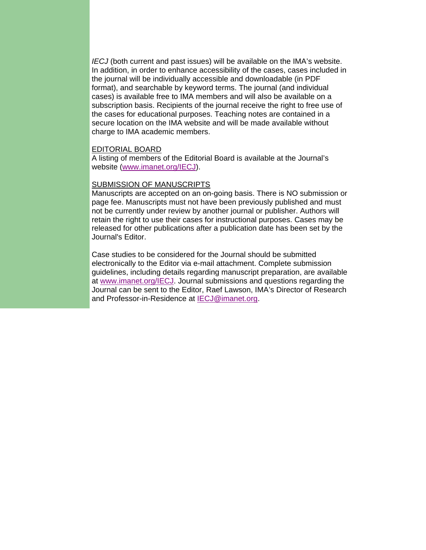*IECJ* (both current and past issues) will be available on the IMA's website. In addition, in order to enhance accessibility of the cases, cases included in the journal will be individually accessible and downloadable (in PDF format), and searchable by keyword terms. The journal (and individual cases) is available free to IMA members and will also be available on a subscription basis. Recipients of the journal receive the right to free use of the cases for educational purposes. Teaching notes are contained in a secure location on the IMA website and will be made available without charge to IMA academic members.

### EDITORIAL BOARD

A listing of members of the Editorial Board is available at the Journal's website (www.imanet.org/IECJ).

#### SUBMISSION OF MANUSCRIPTS

Manuscripts are accepted on an on-going basis. There is NO submission or page fee. Manuscripts must not have been previously published and must not be currently under review by another journal or publisher. Authors will retain the right to use their cases for instructional purposes. Cases may be released for other publications after a publication date has been set by the Journal's Editor.

Case studies to be considered for the Journal should be submitted electronically to the Editor via e-mail attachment. Complete submission guidelines, including details regarding manuscript preparation, are available at www.imanet.org/IECJ. Journal submissions and questions regarding the Journal can be sent to the Editor, Raef Lawson, IMA's Director of Research and Professor-in-Residence at IECJ@imanet.org.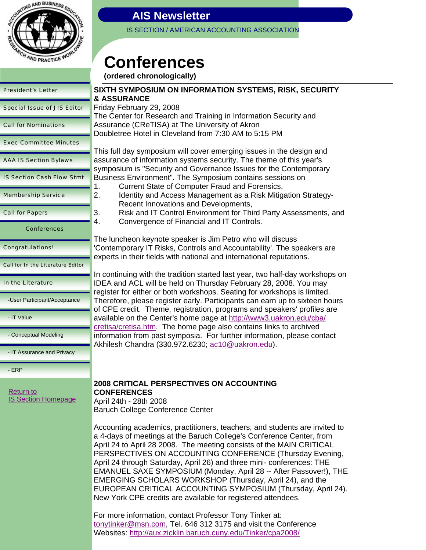

IS SECTION / AMERICAN ACCOUNTING ASSOCIATION.

# **Conferences**

**(ordered chronologically)**

| <b>President's Letter</b>                      | <b>SIXTH SYMPOSIUM ON IN</b><br><b>&amp; ASSURANCE</b>                                                           |
|------------------------------------------------|------------------------------------------------------------------------------------------------------------------|
| <b>Special Issue of JIS Editor</b>             | Friday February 29, 2008                                                                                         |
| <b>Call for Nominations</b>                    | The Center for Research ar<br>Assurance (CReTISA) at TI<br>Doubletree Hotel in Clevela                           |
| <b>Exec Committee Minutes</b>                  | This full day symposium wil                                                                                      |
| <b>AAA IS Section Bylaws</b>                   | assurance of information sy<br>symposium is "Security and                                                        |
| <b>IS Section Cash Flow Stmt</b>               | <b>Business Environment". Th</b><br><b>Current State of Cor</b><br>1.                                            |
| <b>Membership Service</b>                      | 2.<br><b>Identity and Access</b><br><b>Recent Innovations</b>                                                    |
| <b>Call for Papers</b>                         | 3.<br><b>Risk and IT Control</b><br>4.<br>Convergence of Fin                                                     |
| <b>Conferences</b>                             |                                                                                                                  |
| <b>Congratulations!</b>                        | The luncheon keynote spea<br>'Contemporary IT Risks, Co<br>experts in their fields with n                        |
| <b>Call for In the Literature Editor</b>       |                                                                                                                  |
| In the Literature                              | In continuing with the traditi<br>IDEA and ACL will be held<br>register for either or both w                     |
| -User Participant/Acceptance                   | Therefore, please register e<br>of CPE credit. Theme, regi                                                       |
| - IT Value                                     | available on the Center's ho<br>cretisa/cretisa.htm The ho                                                       |
| - Conceptual Modeling                          | information from past symp<br>Akhilesh Chandra (330.972                                                          |
| - IT Assurance and Privacy                     |                                                                                                                  |
| $-ERP$                                         |                                                                                                                  |
| <b>Return to</b><br><b>IS Section Homepage</b> | <b>2008 CRITICAL PERSPEC</b><br><b>CONFERENCES</b><br>April 24th - 28th 2008<br><b>Baruch College Conference</b> |
|                                                | Accounting academics, pra<br>a 4-days of meetings at the<br>April 24 to April 28 2008. T<br>PERSPECTIVES ON ACC  |

# **SIXTH SYMPOSIUM ON INFORMATION SYSTEMS, RISK, SECURITY**

nd Training in Information Security and he University of Akron  $nd$  from  $7:30$  AM to 5:15 PM

Il cover emerging issues in the design and stems security. The theme of this year's d Governance Issues for the Contemporary e Symposium contains sessions on

- mputer Fraud and Forensics,
- Management as a Risk Mitigation Strategyand Developments,
- Environment for Third Party Assessments, and ancial and IT Controls.

aker is Jim Petro who will discuss ontrols and Accountability'. The speakers are ational and international reputations.

ion started last year, two half-day workshops on on Thursday February 28, 2008. You may orkshops. Seating for workshops is limited. early. Participants can earn up to sixteen hours stration, programs and speakers' profiles are ame page at http://www3.uakron.edu/cba/ me page also contains links to archived iosia. For further information, please contact  $A.6230$ ; ac10@uakron.edu).

# **7 TIVES ON ACCOUNTING** B Center

ctitioners, teachers, and students are invited to Baruch College's Conference Center, from he meeting consists of the MAIN CRITICAL OUNTING CONFERENCE (Thursday Evening, April 24 through Saturday, April 26) and three mini- conferences: THE EMANUEL SAXE SYMPOSIUM (Monday, April 28 -- After Passover!), THE EMERGING SCHOLARS WORKSHOP (Thursday, April 24), and the EUROPEAN CRITICAL ACCOUNTING SYMPOSIUM (Thursday, April 24). New York CPE credits are available for registered attendees.

For more information, contact Professor Tony Tinker at: tonytinker@msn.com, Tel. 646 312 3175 and visit the Conference Websites: http://aux.zicklin.baruch.cuny.edu/Tinker/cpa2008/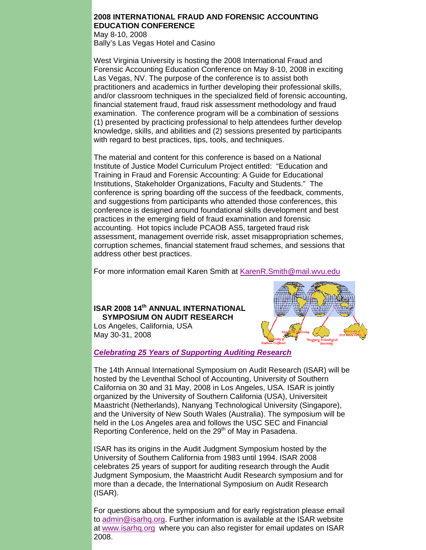### **2008 INTERNATIONAL FRAUD AND FORENSIC ACCOUNTING EDUCATION CONFERENCE**

May 8-10, 2008 Bally's Las Vegas Hotel and Casino

West Virginia University is hosting the 2008 International Fraud and Forensic Accounting Education Conference on May 8-10, 2008 in exciting Las Vegas, NV. The purpose of the conference is to assist both practitioners and academics in further developing their professional skills, and/or classroom techniques in the specialized field of forensic accounting, financial statement fraud, fraud risk assessment methodology and fraud examination. The conference program will be a combination of sessions (1) presented by practicing professional to help attendees further develop knowledge, skills, and abilities and (2) sessions presented by participants with regard to best practices, tips, tools, and techniques.

The material and content for this conference is based on a National Institute of Justice Model Curriculum Project entitled: "Education and Training in Fraud and Forensic Accounting: A Guide for Educational Institutions, Stakeholder Organizations, Faculty and Students." The conference is spring boarding off the success of the feedback, comments, and suggestions from participants who attended those conferences, this conference is designed around foundational skills development and best practices in the emerging field of fraud examination and forensic accounting. Hot topics include PCAOB AS5, targeted fraud risk assessment, management override risk, asset misappropriation schemes, corruption schemes, financial statement fraud schemes, and sessions that address other best practices.

For more information email Karen Smith at KarenR.Smith@mail.wvu.edu

### **ISAR 2008 14th ANNUAL INTERNATIONAL SYMPOSIUM ON AUDIT RESEARCH**

Los Angeles, California, USA May 30-31, 2008



### *Celebrating 25 Years of Supporting Auditing Research*

The 14th Annual International Symposium on Audit Research (ISAR) will be hosted by the Leventhal School of Accounting, University of Southern California on 30 and 31 May, 2008 in Los Angeles, USA. ISAR is jointly organized by the University of Southern California (USA), Universiteit Maastricht (Netherlands), Nanyang Technological University (Singapore), and the University of New South Wales (Australia). The symposium will be held in the Los Angeles area and follows the USC SEC and Financial Reporting Conference, held on the 29<sup>th</sup> of May in Pasadena.

ISAR has its origins in the Audit Judgment Symposium hosted by the University of Southern California from 1983 until 1994. ISAR 2008 celebrates 25 years of support for auditing research through the Audit Judgment Symposium, the Maastricht Audit Research symposium and for more than a decade, the International Symposium on Audit Research (ISAR).

For questions about the symposium and for early registration please email to admin@isarhq.org. Further information is available at the ISAR website at www.isarhq.org where you can also register for email updates on ISAR 2008.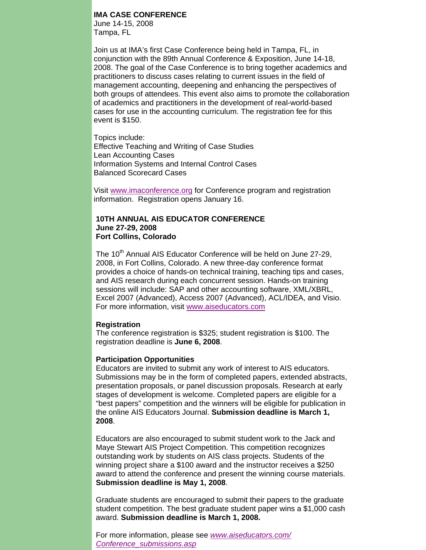### **IMA CASE CONFERENCE**

June 14-15, 2008 Tampa, FL

Join us at IMA's first Case Conference being held in Tampa, FL, in conjunction with the 89th Annual Conference & Exposition, June 14-18, 2008. The goal of the Case Conference is to bring together academics and practitioners to discuss cases relating to current issues in the field of management accounting, deepening and enhancing the perspectives of both groups of attendees. This event also aims to promote the collaboration of academics and practitioners in the development of real-world-based cases for use in the accounting curriculum. The registration fee for this event is \$150.

Topics include: Effective Teaching and Writing of Case Studies Lean Accounting Cases Information Systems and Internal Control Cases Balanced Scorecard Cases

Visit www.imaconference.org for Conference program and registration information. Registration opens January 16.

### **10TH ANNUAL AIS EDUCATOR CONFERENCE June 27-29, 2008 Fort Collins, Colorado**

The 10<sup>th</sup> Annual AIS Educator Conference will be held on June 27-29, 2008, in Fort Collins, Colorado. A new three-day conference format provides a choice of hands-on technical training, teaching tips and cases, and AIS research during each concurrent session. Hands-on training sessions will include: SAP and other accounting software, XML/XBRL, Excel 2007 (Advanced), Access 2007 (Advanced), ACL/IDEA, and Visio. For more information, visit www.aiseducators.com

#### **Registration**

The conference registration is \$325; student registration is \$100. The registration deadline is **June 6, 2008**.

### **Participation Opportunities**

Educators are invited to submit any work of interest to AIS educators. Submissions may be in the form of completed papers, extended abstracts, presentation proposals, or panel discussion proposals. Research at early stages of development is welcome. Completed papers are eligible for a "best papers" competition and the winners will be eligible for publication in the online AIS Educators Journal. **Submission deadline is March 1, 2008**.

Educators are also encouraged to submit student work to the Jack and Maye Stewart AIS Project Competition. This competition recognizes outstanding work by students on AIS class projects. Students of the winning project share a \$100 award and the instructor receives a \$250 award to attend the conference and present the winning course materials. **Submission deadline is May 1, 2008**.

Graduate students are encouraged to submit their papers to the graduate student competition. The best graduate student paper wins a \$1,000 cash award. **Submission deadline is March 1, 2008.** 

For more information, please see *www.aiseducators.com/ Conference\_submissions.asp*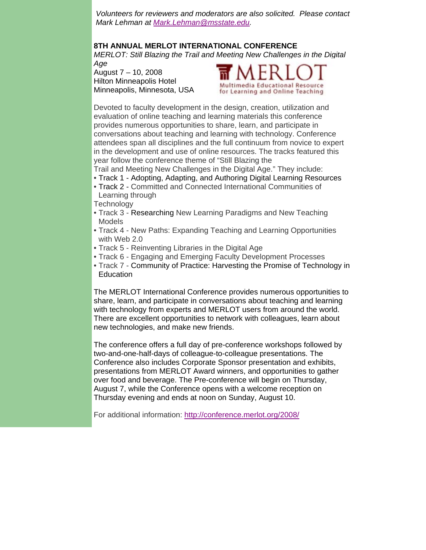*Volunteers for reviewers and moderators are also solicited. Please contact Mark Lehman at Mark.Lehman@msstate.edu.* 

### **8TH ANNUAL MERLOT INTERNATIONAL CONFERENCE**

*MERLOT: Still Blazing the Trail and Meeting New Challenges in the Digital Age* 

August 7 – 10, 2008 Hilton Minneapolis Hotel Minneapolis, Minnesota, USA



Devoted to faculty development in the design, creation, utilization and evaluation of online teaching and learning materials this conference provides numerous opportunities to share, learn, and participate in conversations about teaching and learning with technology. Conference attendees span all disciplines and the full continuum from novice to expert in the development and use of online resources. The tracks featured this year follow the conference theme of "Still Blazing the

Trail and Meeting New Challenges in the Digital Age." They include:

- Track 1 Adopting, Adapting, and Authoring Digital Learning Resources
- Track 2 Committed and Connected International Communities of Learning through

**Technology** 

- Track 3 Researching New Learning Paradigms and New Teaching Models
- Track 4 New Paths: Expanding Teaching and Learning Opportunities with Web 2.0
- Track 5 Reinventing Libraries in the Digital Age
- Track 6 Engaging and Emerging Faculty Development Processes
- Track 7 Community of Practice: Harvesting the Promise of Technology in **Education**

The MERLOT International Conference provides numerous opportunities to share, learn, and participate in conversations about teaching and learning with technology from experts and MERLOT users from around the world. There are excellent opportunities to network with colleagues, learn about new technologies, and make new friends.

The conference offers a full day of pre-conference workshops followed by two-and-one-half-days of colleague-to-colleague presentations. The Conference also includes Corporate Sponsor presentation and exhibits, presentations from MERLOT Award winners, and opportunities to gather over food and beverage. The Pre-conference will begin on Thursday, August 7, while the Conference opens with a welcome reception on Thursday evening and ends at noon on Sunday, August 10.

For additional information: http://conference.merlot.org/2008/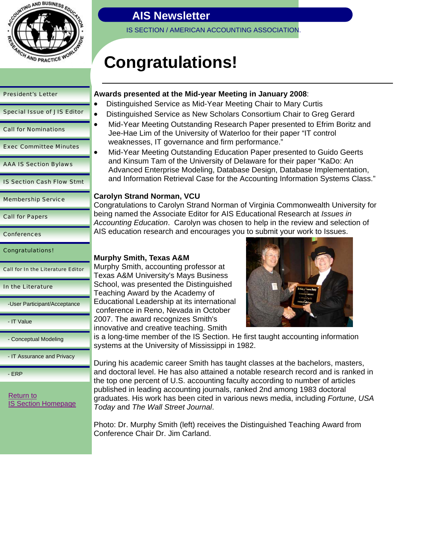

| <b>President's Letter</b>          |
|------------------------------------|
| <b>Special Issue of JIS Editor</b> |
| <b>Call for Nominations</b>        |
| <b>Exec Committee Minutes</b>      |
| <b>AAA IS Section Bylaws</b>       |
| <b>IS Section Cash Flow Stmt</b>   |
| <b>Membership Service</b>          |
| <b>Call for Papers</b>             |
|                                    |
| <b>Conferences</b>                 |

Call for In the Literature Editor

### In the Literature

-User Participant/Acceptance

- IT Value

- Conceptual Modeling

- IT Assurance and Privacy

- ERP

Return to IS Section Homepage

## **AIS Newsletter**

IS SECTION / AMERICAN ACCOUNTING ASSOCIATION.

# **Congratulations!**

### **Awards presented at the Mid-year Meeting in January 2008**:

- Distinguished Service as Mid-Year Meeting Chair to Mary Curtis
- Distinguished Service as New Scholars Consortium Chair to Greg Gerard
- Mid-Year Meeting Outstanding Research Paper presented to Efrim Boritz and Jee-Hae Lim of the University of Waterloo for their paper "IT control weaknesses, IT governance and firm performance."
- Mid-Year Meeting Outstanding Education Paper presented to Guido Geerts and Kinsum Tam of the University of Delaware for their paper "KaDo: An Advanced Enterprise Modeling, Database Design, Database Implementation, and Information Retrieval Case for the Accounting Information Systems Class."

### **Carolyn Strand Norman, VCU**

Congratulations to Carolyn Strand Norman of Virginia Commonwealth University for being named the Associate Editor for AIS Educational Research at *Issues in Accounting Education*. Carolyn was chosen to help in the review and selection of AIS education research and encourages you to submit your work to Issues.

### **Murphy Smith, Texas A&M**

Murphy Smith, accounting professor at Texas A&M University's Mays Business School, was presented the Distinguished Teaching Award by the Academy of Educational Leadership at its international conference in Reno, Nevada in October 2007. The award recognizes Smith's innovative and creative teaching. Smith



is a long-time member of the IS Section. He first taught accounting information systems at the University of Mississippi in 1982.

During his academic career Smith has taught classes at the bachelors, masters, and doctoral level. He has also attained a notable research record and is ranked in the top one percent of U.S. accounting faculty according to number of articles published in leading accounting journals, ranked 2nd among 1983 doctoral graduates. His work has been cited in various news media, including *Fortune*, *USA Today* and *The Wall Street Journal*.

Photo: Dr. Murphy Smith (left) receives the Distinguished Teaching Award from Conference Chair Dr. Jim Carland.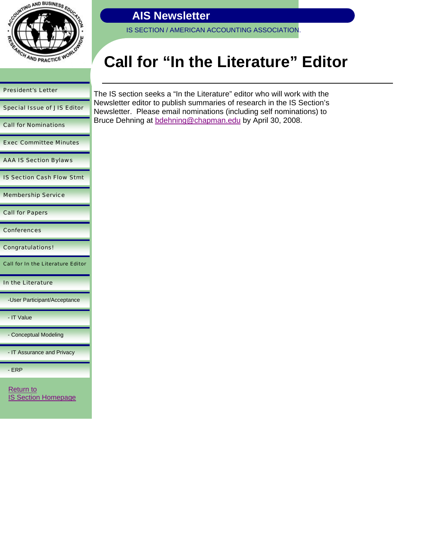

IS SECTION / AMERICAN ACCOUNTING ASSOCIATION.

# **Call for "In the Literature" Editor**

# President's Letter Special Issue of JIS Editor Call for Nominations Exec Committee Minutes AAA IS Section Bylaws IS Section Cash Flow Stmt Membership Service Call for Papers **Conferences** Congratulations! Call for In the Literature Editor In the Literature -User Participant/Acceptance - IT Value

- Conceptual Modeling

- IT Assurance and Privacy

- ERP

Return to **IS Section Homepage**  The IS section seeks a "In the Literature" editor who will work with the Newsletter editor to publish summaries of research in the IS Section's Newsletter. Please email nominations (including self nominations) to Bruce Dehning at bdehning@chapman.edu by April 30, 2008.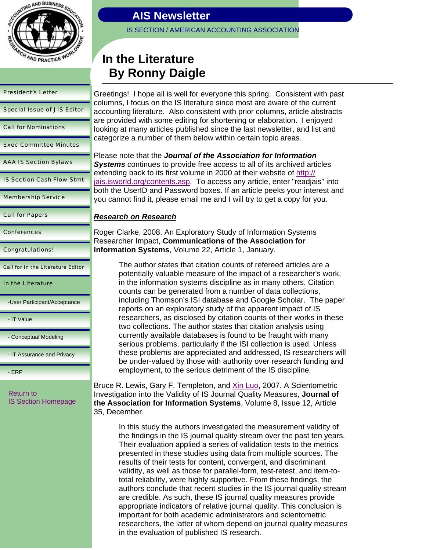

| <b>President's Letter</b>          | C      |
|------------------------------------|--------|
| <b>Special Issue of JIS Editor</b> | c<br>a |
| <b>Call for Nominations</b>        | a<br>k |
| <b>Exec Committee Minutes</b>      | c      |
| <b>AAA IS Section Bylaws</b>       | F<br>S |
| <b>IS Section Cash Flow Stmt</b>   | e<br>Ϊ |
| <b>Membership Service</b>          | b<br>у |
| <b>Call for Papers</b>             | ŀ      |
| <b>Conferences</b>                 | F<br>F |
| <b>Congratulations!</b>            |        |

Call for In the Literature Editor

In the Literature

-User Participant/Acceptance

- IT Value

- Conceptual Modeling

- IT Assurance and Privacy

- ERP

Return to IS Section Homepage **AIS Newsletter** 

IS SECTION / AMERICAN ACCOUNTING ASSOCIATION.

# **In the Literature By Ronny Daigle**

Greetings! I hope all is well for everyone this spring. Consistent with past columns, I focus on the IS literature since most are aware of the current ccounting literature. Also consistent with prior columns, article abstracts are provided with some editing for shortening or elaboration. I enjoyed looking at many articles published since the last newsletter, and list and ategorize a number of them below within certain topic areas.

Please note that the *Journal of the Association for Information Systems* continues to provide free access to all of its archived articles extending back to its first volume in 2000 at their website of http:// ais.isworld.org/contents.asp. To access any article, enter "readjais" into both the UserID and Password boxes. If an article peeks your interest and you cannot find it, please email me and I will try to get a copy for you.

### *Research on Research*

Roger Clarke, 2008. An Exploratory Study of Information Systems Researcher Impact, **Communications of the Association for Information Systems**, Volume 22, Article 1, January.

> The author states that citation counts of refereed articles are a potentially valuable measure of the impact of a researcher's work, in the information systems discipline as in many others. Citation counts can be generated from a number of data collections, including Thomson's ISI database and Google Scholar. The paper reports on an exploratory study of the apparent impact of IS researchers, as disclosed by citation counts of their works in these two collections. The author states that citation analysis using currently available databases is found to be fraught with many serious problems, particularly if the ISI collection is used. Unless these problems are appreciated and addressed, IS researchers will be under-valued by those with authority over research funding and employment, to the serious detriment of the IS discipline.

Bruce R. Lewis, Gary F. Templeton, and Xin Luo, 2007. A Scientometric Investigation into the Validity of IS Journal Quality Measures, **Journal of the Association for Information Systems**, Volume 8, Issue 12, Article 35, December.

In this study the authors investigated the measurement validity of the findings in the IS journal quality stream over the past ten years. Their evaluation applied a series of validation tests to the metrics presented in these studies using data from multiple sources. The results of their tests for content, convergent, and discriminant validity, as well as those for parallel-form, test-retest, and item-tototal reliability, were highly supportive. From these findings, the authors conclude that recent studies in the IS journal quality stream are credible. As such, these IS journal quality measures provide appropriate indicators of relative journal quality. This conclusion is important for both academic administrators and scientometric researchers, the latter of whom depend on journal quality measures in the evaluation of published IS research.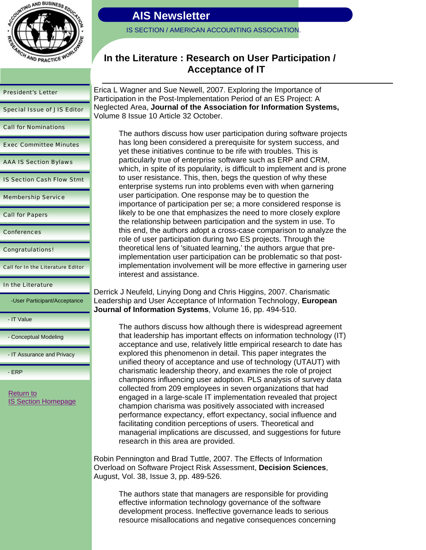

#### President's Letter

Special Issue of JIS Editor

Call for Nominations

Exec Committee Minutes

AAA IS Section Bylaws

IS Section Cash Flow Stmt

Membership Service

Call for Papers

**Conferences** 

Congratulations!

Call for In the Literature Editor

#### In the Literature

-User Participant/Acceptance

- IT Value

- Conceptual Modeling

- IT Assurance and Privacy

- ERP

Return to IS Section Homepage

### **AIS Newsletter**

IS SECTION / AMERICAN ACCOUNTING ASSOCIATION.

### **In the Literature : Research on User Participation / Acceptance of IT**

Erica L Wagner and Sue Newell, 2007. Exploring the Importance of Participation in the Post-Implementation Period of an ES Project: A Neglected Area, **Journal of the Association for Information Systems,**  Volume 8 Issue 10 Article 32 October.

The authors discuss how user participation during software projects has long been considered a prerequisite for system success, and yet these initiatives continue to be rife with troubles. This is particularly true of enterprise software such as ERP and CRM, which, in spite of its popularity, is difficult to implement and is prone to user resistance. This, then, begs the question of why these enterprise systems run into problems even with when garnering user participation. One response may be to question the importance of participation per se; a more considered response is likely to be one that emphasizes the need to more closely explore the relationship between participation and the system in use. To this end, the authors adopt a cross-case comparison to analyze the role of user participation during two ES projects. Through the theoretical lens of 'situated learning,' the authors argue that preimplementation user participation can be problematic so that postimplementation involvement will be more effective in garnering user interest and assistance.

Derrick J Neufeld, Linying Dong and Chris Higgins, 2007. Charismatic Leadership and User Acceptance of Information Technology, **European Journal of Information Systems**, Volume 16, pp. 494-510.

The authors discuss how although there is widespread agreement that leadership has important effects on information technology (IT) acceptance and use, relatively little empirical research to date has explored this phenomenon in detail. This paper integrates the unified theory of acceptance and use of technology (UTAUT) with charismatic leadership theory, and examines the role of project champions influencing user adoption. PLS analysis of survey data collected from 209 employees in seven organizations that had engaged in a large-scale IT implementation revealed that project champion charisma was positively associated with increased performance expectancy, effort expectancy, social influence and facilitating condition perceptions of users. Theoretical and managerial implications are discussed, and suggestions for future research in this area are provided.

Robin Pennington and Brad Tuttle, 2007. The Effects of Information Overload on Software Project Risk Assessment, **Decision Sciences**, August, Vol. 38, Issue 3, pp. 489-526.

The authors state that managers are responsible for providing effective information technology governance of the software development process. Ineffective governance leads to serious resource misallocations and negative consequences concerning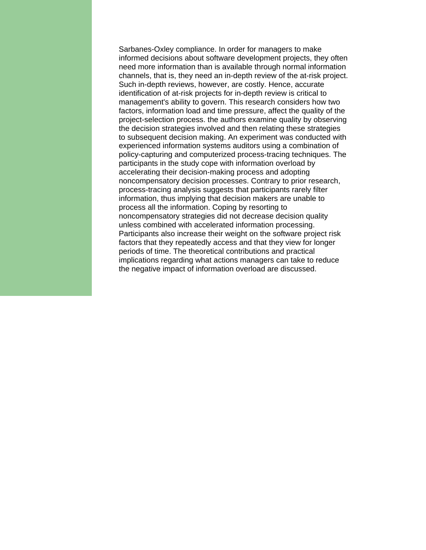Sarbanes-Oxley compliance. In order for managers to make informed decisions about software development projects, they often need more information than is available through normal information channels, that is, they need an in-depth review of the at-risk project. Such in-depth reviews, however, are costly. Hence, accurate identification of at-risk projects for in-depth review is critical to management's ability to govern. This research considers how two factors, information load and time pressure, affect the quality of the project-selection process. the authors examine quality by observing the decision strategies involved and then relating these strategies to subsequent decision making. An experiment was conducted with experienced information systems auditors using a combination of policy-capturing and computerized process-tracing techniques. The participants in the study cope with information overload by accelerating their decision-making process and adopting noncompensatory decision processes. Contrary to prior research, process-tracing analysis suggests that participants rarely filter information, thus implying that decision makers are unable to process all the information. Coping by resorting to noncompensatory strategies did not decrease decision quality unless combined with accelerated information processing. Participants also increase their weight on the software project risk factors that they repeatedly access and that they view for longer periods of time. The theoretical contributions and practical implications regarding what actions managers can take to reduce the negative impact of information overload are discussed.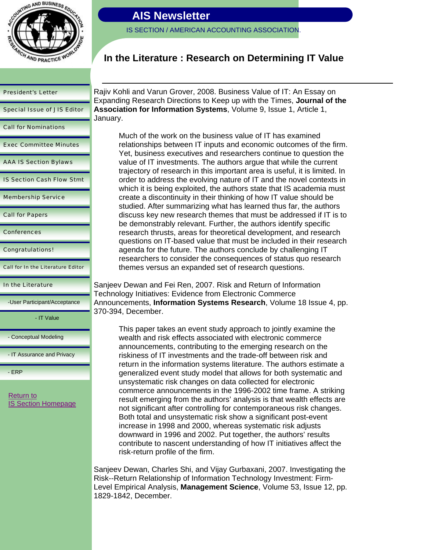

IS SECTION / AMERICAN ACCOUNTING ASSOCIATION.

### **In the Literature : Research on Determining IT Value**

#### President's Letter

Special Issue of JIS Editor

Call for Nominations

Exec Committee Minutes

AAA IS Section Bylaws

IS Section Cash Flow Stmt

Membership Service

Call for Papers

**Conferences** 

Congratulations!

Call for In the Literature Editor

#### In the Literature

-User Participant/Acceptance

- IT Value

- Conceptual Modeling

- IT Assurance and Privacy

- ERP

Return to **IS Section Homepage** 

Rajiv Kohli and Varun Grover, 2008. Business Value of IT: An Essay on Expanding Research Directions to Keep up with the Times, **Journal of the Association for Information Systems**, Volume 9, Issue 1, Article 1, January.

Much of the work on the business value of IT has examined relationships between IT inputs and economic outcomes of the firm. Yet, business executives and researchers continue to question the value of IT investments. The authors argue that while the current trajectory of research in this important area is useful, it is limited. In order to address the evolving nature of IT and the novel contexts in which it is being exploited, the authors state that IS academia must create a discontinuity in their thinking of how IT value should be studied. After summarizing what has learned thus far, the authors discuss key new research themes that must be addressed if IT is to be demonstrably relevant. Further, the authors identify specific research thrusts, areas for theoretical development, and research questions on IT-based value that must be included in their research agenda for the future. The authors conclude by challenging IT researchers to consider the consequences of status quo research themes versus an expanded set of research questions.

Sanjeev Dewan and Fei Ren, 2007. Risk and Return of Information Technology Initiatives: Evidence from Electronic Commerce Announcements, **Information Systems Research**, Volume 18 Issue 4, pp. 370-394, December.

This paper takes an event study approach to jointly examine the wealth and risk effects associated with electronic commerce announcements, contributing to the emerging research on the riskiness of IT investments and the trade-off between risk and return in the information systems literature. The authors estimate a generalized event study model that allows for both systematic and unsystematic risk changes on data collected for electronic commerce announcements in the 1996-2002 time frame. A striking result emerging from the authors' analysis is that wealth effects are not significant after controlling for contemporaneous risk changes. Both total and unsystematic risk show a significant post-event increase in 1998 and 2000, whereas systematic risk adjusts downward in 1996 and 2002. Put together, the authors' results contribute to nascent understanding of how IT initiatives affect the risk-return profile of the firm.

Sanjeev Dewan, Charles Shi, and Vijay Gurbaxani, 2007. Investigating the Risk--Return Relationship of Information Technology Investment: Firm-Level Empirical Analysis, **Management Science**, Volume 53, Issue 12, pp. 1829-1842, December.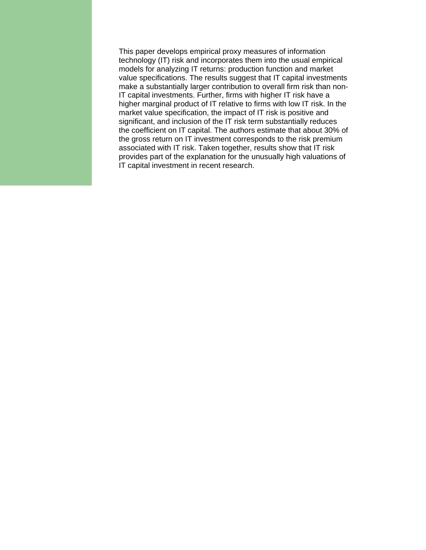This paper develops empirical proxy measures of information technology (IT) risk and incorporates them into the usual empirical models for analyzing IT returns: production function and market value specifications. The results suggest that IT capital investments make a substantially larger contribution to overall firm risk than non-IT capital investments. Further, firms with higher IT risk have a higher marginal product of IT relative to firms with low IT risk. In the market value specification, the impact of IT risk is positive and significant, and inclusion of the IT risk term substantially reduces the coefficient on IT capital. The authors estimate that about 30% of the gross return on IT investment corresponds to the risk premium associated with IT risk. Taken together, results show that IT risk provides part of the explanation for the unusually high valuations of IT capital investment in recent research.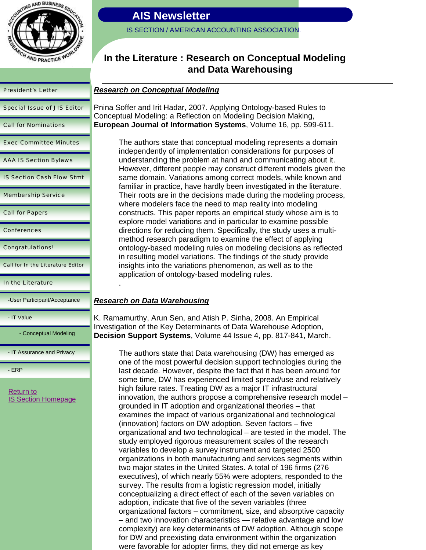

| <b>President's Letter</b>          |
|------------------------------------|
| <b>Special Issue of JIS Editor</b> |
| <b>Call for Nominations</b>        |
| <b>Exec Committee Minutes</b>      |
| <b>AAA IS Section Bylaws</b>       |
| <b>IS Section Cash Flow Stmt</b>   |
| <b>Membership Service</b>          |
| <b>Call for Papers</b>             |
| <b>Conferences</b>                 |

Congratulations!

Call for In the Literature Editor

In the Literature

-User Participant/Acceptance

- IT Value

- Conceptual Modeling

- IT Assurance and Privacy

- ERP

Return to IS Section Homepage

### **AIS Newsletter**

IS SECTION / AMERICAN ACCOUNTING ASSOCIATION.

### **In the Literature : Research on Conceptual Modeling and Data Warehousing**

### *Research on Conceptual Modeling*

Pnina Soffer and Irit Hadar, 2007. Applying Ontology-based Rules to Conceptual Modeling: a Reflection on Modeling Decision Making, **European Journal of Information Systems**, Volume 16, pp. 599-611.

> The authors state that conceptual modeling represents a domain independently of implementation considerations for purposes of understanding the problem at hand and communicating about it. However, different people may construct different models given the same domain. Variations among correct models, while known and familiar in practice, have hardly been investigated in the literature. Their roots are in the decisions made during the modeling process, where modelers face the need to map reality into modeling constructs. This paper reports an empirical study whose aim is to explore model variations and in particular to examine possible directions for reducing them. Specifically, the study uses a multimethod research paradigm to examine the effect of applying ontology-based modeling rules on modeling decisions as reflected in resulting model variations. The findings of the study provide insights into the variations phenomenon, as well as to the application of ontology-based modeling rules.

### *Research on Data Warehousing*

.

K. Ramamurthy, Arun Sen, and Atish P. Sinha, 2008. An Empirical Investigation of the Key Determinants of Data Warehouse Adoption, **Decision Support Systems**, Volume 44 Issue 4, pp. 817-841, March.

> The authors state that Data warehousing (DW) has emerged as one of the most powerful decision support technologies during the last decade. However, despite the fact that it has been around for some time, DW has experienced limited spread/use and relatively high failure rates. Treating DW as a major IT infrastructural innovation, the authors propose a comprehensive research model – grounded in IT adoption and organizational theories – that examines the impact of various organizational and technological (innovation) factors on DW adoption. Seven factors – five organizational and two technological – are tested in the model. The study employed rigorous measurement scales of the research variables to develop a survey instrument and targeted 2500 organizations in both manufacturing and services segments within two major states in the United States. A total of 196 firms (276 executives), of which nearly 55% were adopters, responded to the survey. The results from a logistic regression model, initially conceptualizing a direct effect of each of the seven variables on adoption, indicate that five of the seven variables (three organizational factors – commitment, size, and absorptive capacity – and two innovation characteristics — relative advantage and low complexity) are key determinants of DW adoption. Although scope for DW and preexisting data environment within the organization were favorable for adopter firms, they did not emerge as key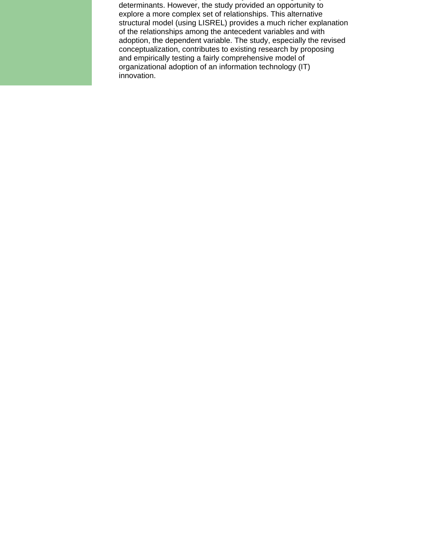p ,y g y determinants. However, the study provided an opportunity to explore a more complex set of relationships. This alternative structural model (using LISREL) provides a much richer explanation of the relationships among the antecedent variables and with adoption, the dependent variable. The study, especially the revised conceptualization, contributes to existing research by proposing and empirically testing a fairly comprehensive model of organizational adoption of an information technology (IT) innovation.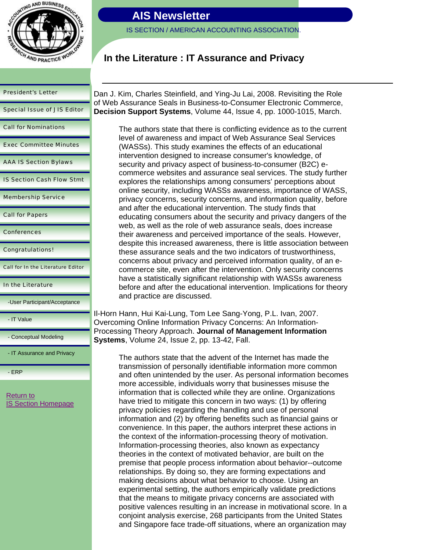

President's Letter

Special Issue of JIS Editor

Call for Nominations

Exec Committee Minutes

AAA IS Section Bylaws

IS Section Cash Flow Stmt

Membership Service

Call for Papers

**Conferences** 

Congratulations!

Call for In the Literature Editor

In the Literature

-User Participant/Acceptance

- IT Value

- Conceptual Modeling

- IT Assurance and Privacy

- ERP

Return to **IS Section Homepage** 

# **AIS Newsletter**

IS SECTION / AMERICAN ACCOUNTING ASSOCIATION.

### **In the Literature : IT Assurance and Privacy**

Dan J. Kim, Charles Steinfield, and Ying-Ju Lai, 2008. Revisiting the Role of Web Assurance Seals in Business-to-Consumer Electronic Commerce, **Decision Support Systems**, Volume 44, Issue 4, pp. 1000-1015, March.

The authors state that there is conflicting evidence as to the current level of awareness and impact of Web Assurance Seal Services (WASSs). This study examines the effects of an educational intervention designed to increase consumer's knowledge, of security and privacy aspect of business-to-consumer (B2C) ecommerce websites and assurance seal services. The study further explores the relationships among consumers' perceptions about online security, including WASSs awareness, importance of WASS, privacy concerns, security concerns, and information quality, before and after the educational intervention. The study finds that educating consumers about the security and privacy dangers of the web, as well as the role of web assurance seals, does increase their awareness and perceived importance of the seals. However, despite this increased awareness, there is little association between these assurance seals and the two indicators of trustworthiness, concerns about privacy and perceived information quality, of an ecommerce site, even after the intervention. Only security concerns have a statistically significant relationship with WASSs awareness before and after the educational intervention. Implications for theory and practice are discussed.

Il-Horn Hann, Hui Kai-Lung, Tom Lee Sang-Yong, P.L. Ivan, 2007. Overcoming Online Information Privacy Concerns: An Information-Processing Theory Approach. **Journal of Management Information Systems**, Volume 24, Issue 2, pp. 13-42, Fall.

> The authors state that the advent of the Internet has made the transmission of personally identifiable information more common and often unintended by the user. As personal information becomes more accessible, individuals worry that businesses misuse the information that is collected while they are online. Organizations have tried to mitigate this concern in two ways: (1) by offering privacy policies regarding the handling and use of personal information and (2) by offering benefits such as financial gains or convenience. In this paper, the authors interpret these actions in the context of the information-processing theory of motivation. Information-processing theories, also known as expectancy theories in the context of motivated behavior, are built on the premise that people process information about behavior--outcome relationships. By doing so, they are forming expectations and making decisions about what behavior to choose. Using an experimental setting, the authors empirically validate predictions that the means to mitigate privacy concerns are associated with positive valences resulting in an increase in motivational score. In a conjoint analysis exercise, 268 participants from the United States and Singapore face trade-off situations, where an organization may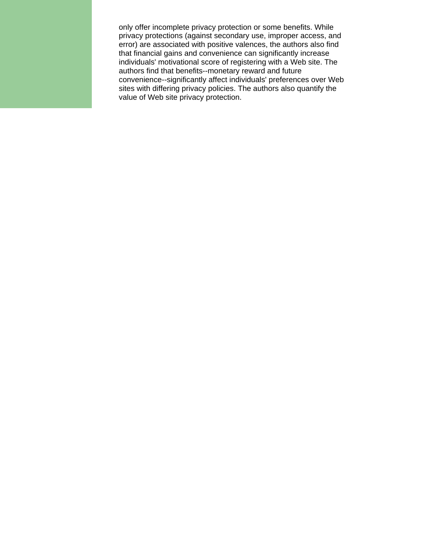only offer incomplete privacy protection or some benefits. While privacy protections (against secondary use, improper access, and error) are associated with positive valences, the authors also find that financial gains and convenience can significantly increase individuals' motivational score of registering with a Web site. The authors find that benefits--monetary reward and future convenience--significantly affect individuals' preferences over Web sites with differing privacy policies. The authors also quantify the value of Web site privacy protection.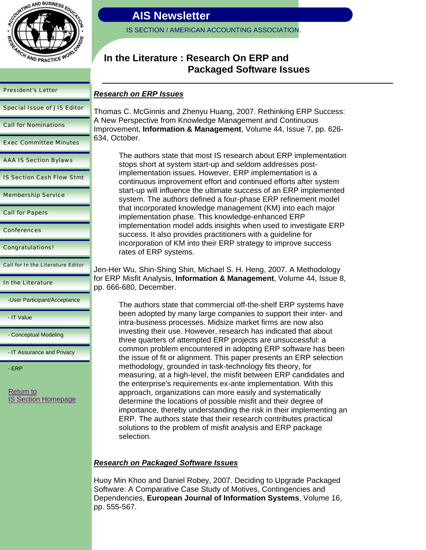

President's Letter

Special Issue of JIS Editor

Call for Nominations

Exec Committee Minutes

AAA IS Section Bylaws

IS Section Cash Flow Stmt

Membership Service

Call for Papers

Conferences

Congratulations!

Call for In the Literature Editor

In the Literature

-User Participant/Acceptance

- IT Value

- Conceptual Modeling

- IT Assurance and Privacy

- ERP

Return to IS Section Homepage

# **AIS Newsletter**

IS SECTION / AMERICAN ACCOUNTING ASSOCIATION.

### **In the Literature : Research On ERP and Packaged Software Issues**

### *Research on ERP Issues*

Thomas C. McGinnis and Zhenyu Huang, 2007. Rethinking ERP Success: A New Perspective from Knowledge Management and Continuous Improvement, **Information & Management**, Volume 44, Issue 7, pp. 626- 634, October.

The authors state that most IS research about ERP implementation stops short at system start-up and seldom addresses postimplementation issues. However, ERP implementation is a continuous improvement effort and continued efforts after system start-up will influence the ultimate success of an ERP implemented system. The authors defined a four-phase ERP refinement model that incorporated knowledge management (KM) into each major implementation phase. This knowledge-enhanced ERP implementation model adds insights when used to investigate ERP success. It also provides practitioners with a guideline for incorporation of KM into their ERP strategy to improve success rates of ERP systems.

Jen-Her Wu, Shin-Shing Shin, Michael S. H. Heng, 2007. A Methodology for ERP Misfit Analysis, **Information & Management**, Volume 44, Issue 8, pp. 666-680, December.

The authors state that commercial off-the-shelf ERP systems have been adopted by many large companies to support their inter- and intra-business processes. Midsize market firms are now also investing their use. However, research has indicated that about three quarters of attempted ERP projects are unsuccessful: a common problem encountered in adopting ERP software has been the issue of fit or alignment. This paper presents an ERP selection methodology, grounded in task-technology fits theory, for measuring, at a high-level, the misfit between ERP candidates and the enterprise's requirements ex-ante implementation. With this approach, organizations can more easily and systematically determine the locations of possible misfit and their degree of importance, thereby understanding the risk in their implementing an ERP. The authors state that their research contributes practical solutions to the problem of misfit analysis and ERP package selection.

### *Research on Packaged Software Issues*

Huoy Min Khoo and Daniel Robey, 2007. Deciding to Upgrade Packaged Software: A Comparative Case Study of Motives, Contingencies and Dependencies, **European Journal of Information Systems**, Volume 16, pp. 555-567.